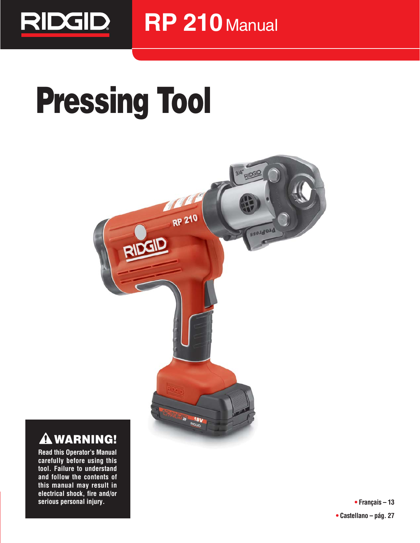

# **Pressing Tool**



## **WARNING!**

**Read this Operator's Manual carefully before using this tool. Failure to understand and follow the contents of this manual may result in electrical shock, fire and/or serious personal injury.**

**• Français – 13 • Castellano – pág. 27**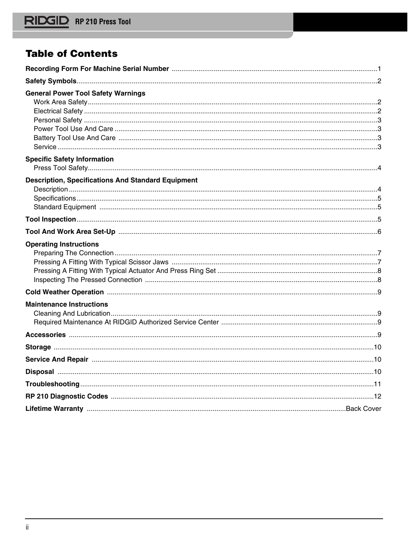## **Table of Contents**

| <b>General Power Tool Safety Warnings</b>                 |  |
|-----------------------------------------------------------|--|
|                                                           |  |
|                                                           |  |
|                                                           |  |
|                                                           |  |
|                                                           |  |
|                                                           |  |
| <b>Specific Safety Information</b>                        |  |
|                                                           |  |
| <b>Description, Specifications And Standard Equipment</b> |  |
|                                                           |  |
|                                                           |  |
|                                                           |  |
|                                                           |  |
|                                                           |  |
| <b>Operating Instructions</b>                             |  |
|                                                           |  |
|                                                           |  |
|                                                           |  |
|                                                           |  |
|                                                           |  |
| <b>Maintenance Instructions</b>                           |  |
|                                                           |  |
|                                                           |  |
|                                                           |  |
|                                                           |  |
|                                                           |  |
|                                                           |  |
|                                                           |  |
|                                                           |  |
|                                                           |  |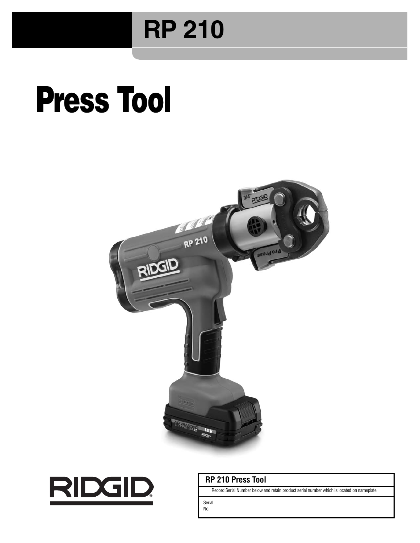## **RP 210**

## **Press Tool**





## **RP 210 Press Tool**

Record Serial Number below and retain product serial number which is located on nameplate.

Serial No.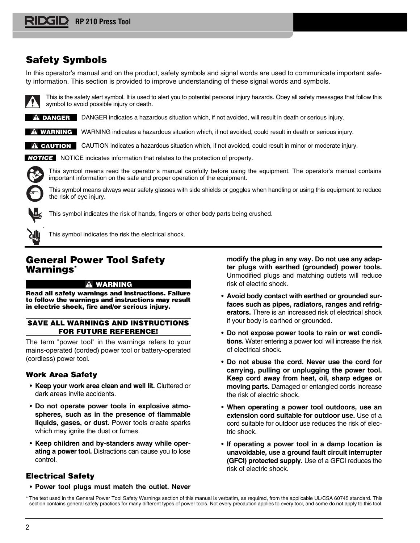## **Safety Symbols**

In this operator's manual and on the product, safety symbols and signal words are used to communicate important safety information. This section is provided to improve understanding of these signal words and symbols.



This is the safety alert symbol. It is used to alert you to potential personal injury hazards. Obey all safety messages that follow this symbol to avoid possible injury or death.

**DANGER** DANGER indicates a hazardous situation which, if not avoided, will result in death or serious injury.

WARNING indicates a hazardous situation which, if not avoided, could result in death or serious injury. **WARNING**

CAUTION indicates a hazardous situation which, if not avoided, could result in minor or moderate injury. **CAUTION**

NOTICE indicates information that relates to the protection of property. **NOTICE**

This symbol means read the operator's manual carefully before using the equipment. The operator's manual contains important information on the safe and proper operation of the equipment.

This symbol means always wear safety glasses with side shields or goggles when handling or using this equipment to reduce the risk of eye injury.



This symbol indicates the risk of hands, fingers or other body parts being crushed.



This symbol indicates the risk the electrical shock.

## **General Power Tool Safety Warnings\***

### **WARNING**

**Read all safety warnings and instructions. Failure to follow the warnings and instructions may result in electric shock, fire and/or serious injury.**

## **SAVE ALL WARNINGS AND INSTRUCTIONS FOR FUTURE REFERENCE!**

The term "power tool" in the warnings refers to your mains-operated (corded) power tool or battery-operated (cordless) power tool.

## **Work Area Safety**

- **Keep your work area clean and well lit.** Cluttered or dark areas invite accidents.
- **Do not operate power tools in explosive atmo**spheres, such as in the presence of flammable **liquids, gases, or dust.** Power tools create sparks which may ignite the dust or fumes.
- **Keep children and by-standers away while operating a power tool.** Distractions can cause you to lose control.

**modify the plug in any way. Do not use any adap ter plugs with earthed (grounded) power tools.** Unmodified plugs and matching outlets will reduce risk of electric shock.

- **Avoid body contact with earthed or grounded surfaces such as pipes, radiators, ranges and refrigerators.** There is an increased risk of electrical shock if your body is earthed or grounded.
- **Do not expose power tools to rain or wet conditions.** Water entering a power tool will increase the risk of electrical shock.
- **Do not abuse the cord. Never use the cord for carrying, pulling or unplugging the power tool. Keep cord away from heat, oil, sharp edges or moving parts.** Damaged or entangled cords increase the risk of electric shock.
- **When operating a power tool outdoors, use an extension cord suitable for outdoor use.** Use of a cord suitable for outdoor use reduces the risk of electric shock.
- **If operating a power tool in a damp location is unavoidable, use a ground fault circuit interrupter (GFCI) protected supply.** Use of a GFCI reduces the risk of electric shock.

## **Electrical Safety**

• **Power tool plugs must match the outlet. Never**

\* The text used in the General Power Tool Safety Warnings section of this manual is verbatim, as required, from the applicable UL/CSA 60745 standard. This section contains general safety practices for many different types of power tools. Not every precaution applies to every tool, and some do not apply to this tool.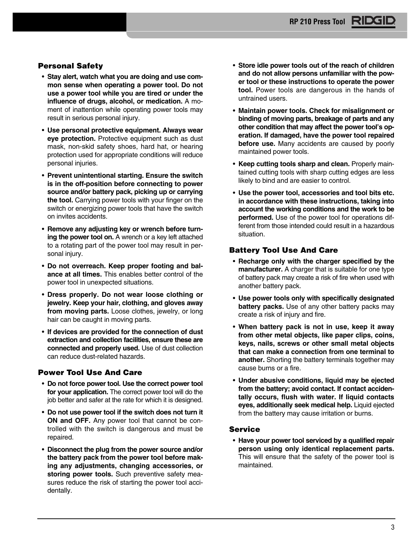## **Personal Safety**

- **Stay alert, watch what you are doing and use common sense when operating a power tool. Do not use a power tool while you are tired or under the** influence of drugs, alcohol, or medication. A moment of inattention while operating power tools may result in serious personal injury.
- **Use personal protective equipment. Always wear eye protection.** Protective equipment such as dust mask, non-skid safety shoes, hard hat, or hearing protection used for appropriate conditions will reduce personal injuries.
- **Prevent unintentional starting. Ensure the switch is in the off-position before connecting to power source and/or battery pack, picking up or carrying the tool.** Carrying power tools with your finger on the switch or energizing power tools that have the switch on invites accidents.
- **Remove any adjusting key or wrench before turning the power tool on.** A wrench or a key left attached to a rotating part of the power tool may result in personal injury.
- **Do not overreach. Keep proper footing and balance at all times.** This enables better control of the power tool in unexpected situations.
- **Dress properly. Do not wear loose clothing or jewel ry. Keep your hair, clothing, and gloves away from moving parts.** Loose clothes, jewelry, or long hair can be caught in moving parts.
- **If devices are provided for the connection of dust extraction and collection facilities, ensure these are connected and properly used.** Use of dust collection can reduce dust-related hazards.

## **Power Tool Use And Care**

- **Do not force power tool. Use the correct power tool for your application.** The correct power tool will do the job better and safer at the rate for which it is designed.
- **Do not use power tool if the switch does not turn it ON and OFF.** Any power tool that cannot be controlled with the switch is dangerous and must be repaired.
- **Disconnect the plug from the power source and/or the battery pack from the power tool before making any adjustments, changing accessories, or storing power tools.** Such preventive safety measures reduce the risk of starting the power tool accidentally.
- **Store idle power tools out of the reach of children** and do not allow persons unfamiliar with the pow**er tool or these instructions to operate the power tool.** Power tools are dangerous in the hands of untrained users.
- **Maintain power tools. Check for misalignment or binding of moving parts, breakage of parts and any** other condition that may affect the power tool's op**er ation. If damaged, have the power tool repaired before use.** Many accidents are caused by poorly maintained power tools.
- **Keep cutting tools sharp and clean.** Properly maintained cutting tools with sharp cutting edges are less likely to bind and are easier to control.
- **Use the power tool, accessories and tool bits etc. in accordance with these instructions, taking into account the working conditions and the work to be performed.** Use of the power tool for operations different from those intended could result in a hazardous situation.

## **Battery Tool Use And Care**

- **Recharge only with the charger specified by the manufacturer.** A charger that is suitable for one type of battery pack may create a risk of fire when used with another battery pack.
- **Use power tools only with specifically designated battery packs.** Use of any other battery packs may create a risk of injury and fire.
- **When battery pack is not in use, keep it away from other metal objects, like paper clips, coins, keys, nails, screws or other small metal objects that can make a connection from one terminal to another.** Shorting the battery terminals together may cause burns or a fire.
- **Under abusive conditions, liquid may be ejected from the battery; avoid contact. If contact acciden tally occurs, flush with water. If liquid contacts eyes, additionally seek medical help.** Liquid ejected from the battery may cause irritation or burns.

### **Service**

• **Have your power tool serviced by a qualified repair person using only identical replacement parts.** This will ensure that the safety of the power tool is maintained.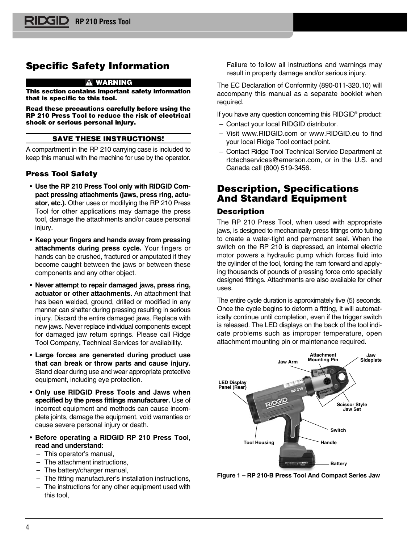## **Specific Safety Information**

#### **WARNING**

**This section contains important safety information that is specific to this tool.**

**Read these precautions carefully before using the RP 210 Press Tool to reduce the risk of electrical shock or serious personal injury.**

#### **SAVE THESE INSTRUCTIONS!**

A compartment in the RP 210 carrying case is included to keep this manual with the machine for use by the operator.

## **Press Tool Safety**

- **Use the RP 210 Press Tool only with RIDGID Com pact pressing attachments (jaws, press ring, actuator, etc.).** Other uses or modifying the RP 210 Press Tool for other applications may damage the press tool, damage the attachments and/or cause personal injury.
- **Keep your fingers and hands away from pressing attachments during press cycle.** Your fingers or hands can be crushed, fractured or amputated if they become caught between the jaws or between these components and any other object.
- **Never attempt to repair damaged jaws, press ring, actuator or other attachments.** An attachment that has been welded, ground, drilled or modified in any manner can shatter during pressing resulting in serious injury. Discard the entire damaged jaws. Replace with new jaws. Never replace individual components except for damaged jaw return springs. Please call Ridge Tool Company, Technical Services for availability.
- **Large forces are generated during product use that can break or throw parts and cause injury.** Stand clear during use and wear appropriate protective equipment, including eye protection.
- **Only use RIDGID Press Tools and Jaws when specified by the press fittings manufacturer.** Use of incorrect equipment and methods can cause incomplete joints, damage the equipment, void warranties or cause severe personal injury or death.
- **Before operating a RIDGID RP 210 Press Tool, read and understand:** 
	- This operator's manual,
	- The attachment instructions,
	- The battery/charger manual,
	- The fitting manufacturer's installation instructions,
	- The instructions for any other equipment used with this tool,

Failure to follow all instructions and warnings may result in property damage and/or serious injury.

The EC Declaration of Conformity (890-011-320.10) will accompany this manual as a separate booklet when required.

If you have any question concerning this RIDGID® product:

- Contact your local RIDGID distributor.
- Visit www.RIDGID.com or www.RIDGID.eu to find your local Ridge Tool contact point.
- Contact Ridge Tool Technical Service Department at rtctechservices@emerson.com, or in the U.S. and Canada call (800) 519-3456.

## **Description, Specifications And Standard Equipment**

## **Description**

The RP 210 Press Tool, when used with appropriate jaws, is designed to mechanically press fittings onto tubing to create a water-tight and permanent seal. When the switch on the RP 210 is depressed, an internal electric motor powers a hydraulic pump which forces fluid into the cylinder of the tool, forcing the ram forward and applying thousands of pounds of pressing force onto specially designed fittings. Attachments are also available for other uses.

The entire cycle duration is approximately five (5) seconds. Once the cycle begins to deform a fitting, it will automatically continue until completion, even if the trigger switch is released. The LED displays on the back of the tool indicate problems such as improper temperature, open attachment mounting pin or maintenance required.



**Figure 1 – RP 210-B Press Tool And Compact Series Jaw**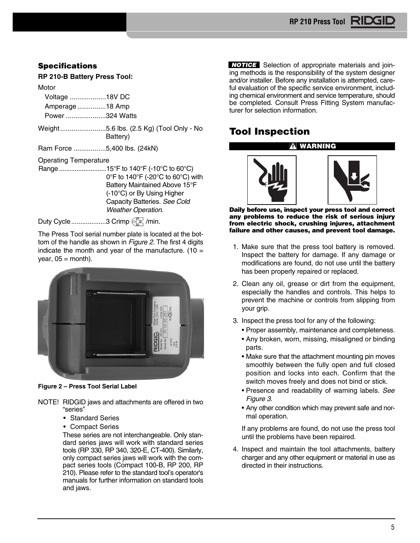## **Specifications**

**RP 210-B Battery Press Tool:**

#### **Motor**

|  | Voltage 18V DC |  |  |
|--|----------------|--|--|
|--|----------------|--|--|

Amperage ...............18 Amp

Power .....................324 Watts

Weight........................5.6 lbs. (2.5 Kg) (Tool Only - No Battery)

Ram Force .................5,400 lbs. (24kN)

## Operating Temperature

Range ...........................15°F to 140°F (-10°C to 60°C) 0°F to 140°F (-20°C to 60°C) with Battery Maintained Above 15°F (-10°C) or By Using Higher Capacity Batteries. See Cold Weather Operation.

Duty Cycle...................3 Crimp  $\mathbb{Q}^{\mathbb{T}}$  /min.

The Press Tool serial number plate is located at the bottom of the handle as shown in *Figure 2*. The first 4 digits indicate the month and year of the manufacture. (10  $=$  $year, 05 = month$ ).



**Figure 2 – Press Tool Serial Label**

NOTE! RIDGID jaws and attachments are offered in two "series"

- Standard Series
- Compact Series

These series are not interchangeable. Only standard series jaws will work with standard series tools (RP 330, RP 340, 320-E, CT-400). Similarly, only compact series jaws will work with the compact series tools (Compact 100-B, RP 200, RP 210). Please refer to the standard tool's operator's manuals for further information on standard tools and jaws.

**NOTICE** Selection of appropriate materials and joining methods is the responsibility of the system designer and/or installer. Before any installation is attempted, careful evaluation of the specific service environment, including chemical environment and service temperature, should be completed. Consult Press Fitting System manufacturer for selection information.

## **Tool Inspection**

## **WARNING**



**Daily before use, inspect your press tool and correct any problems to reduce the risk of serious injury from electric shock, crushing injures, attachment failure and other causes, and prevent tool damage.**

- 1. Make sure that the press tool battery is removed. Inspect the battery for damage. If any damage or modifications are found, do not use until the battery has been properly repaired or replaced.
- 2. Clean any oil, grease or dirt from the equipment, especially the handles and controls. This helps to prevent the machine or controls from slipping from your grip.
- 3. Inspect the press tool for any of the following:
	- Proper assembly, maintenance and completeness.
	- Any broken, worn, missing, misaligned or binding parts.
	- Make sure that the attachment mounting pin moves smoothly between the fully open and full closed position and locks into each. Confirm that the switch moves freely and does not bind or stick.
	- Presence and readability of warning labels. See Figure 3.
	- Any other condition which may prevent safe and normal operation.

If any problems are found, do not use the press tool until the problems have been repaired.

4. Inspect and maintain the tool attachments, battery charger and any other equipment or material in use as directed in their instructions.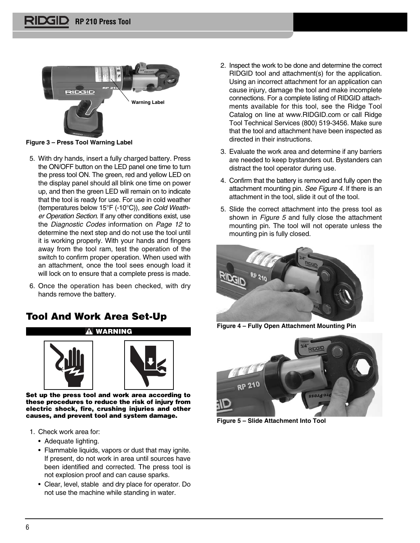

**Figure 3 – Press Tool Warning Label**

- 5. With dry hands, insert a fully charged battery. Press the ON/OFF button on the LED panel one time to turn the press tool ON. The green, red and yellow LED on the display panel should all blink one time on power up, and then the green LED will remain on to indicate that the tool is ready for use. For use in cold weather (temperatures below 15°F (-10°C)), see Cold Weath er Operation Section. If any other conditions exist, use the Diagnostic Codes information on Page 12 to determine the next step and do not use the tool until it is working properly. With your hands and fingers away from the tool ram, test the operation of the switch to confirm proper operation. When used with an attachment, once the tool sees enough load it will lock on to ensure that a complete press is made.
- 6. Once the operation has been checked, with dry hands remove the battery.

## **Tool And Work Area Set-Up**





**Set up the press tool and work area according to these procedures to reduce the risk of injury from electric shock, fire, crushing injuries and other causes, and prevent tool and system damage.**

- 1. Check work area for:
	- Adequate lighting.
	- Flammable liquids, vapors or dust that may ignite. If present, do not work in area until sources have been identified and corrected. The press tool is not explosion proof and can cause sparks.
	- Clear, level, stable and dry place for operator. Do not use the machine while standing in water.
- 2. Inspect the work to be done and determine the correct RIDGID tool and attachment(s) for the application. Using an incorrect attachment for an application can cause injury, damage the tool and make incomplete connections. For a complete listing of RIDGID attachments available for this tool, see the Ridge Tool Catalog on line at www.RIDGID.com or call Ridge Tool Technical Services (800) 519-3456. Make sure that the tool and attachment have been inspected as directed in their instructions.
- 3. Evaluate the work area and determine if any barriers are needed to keep bystanders out. Bystanders can distract the tool operator during use.
- 4. Confirm that the battery is removed and fully open the attachment mounting pin. See Figure 4. If there is an attachment in the tool, slide it out of the tool.
- 5. Slide the correct attachment into the press tool as shown in Figure 5 and fully close the attachment mounting pin. The tool will not operate unless the mounting pin is fully closed.



**Figure 4 – Fully Open Attachment Mounting Pin**



**Figure 5 – Slide Attachment Into Tool**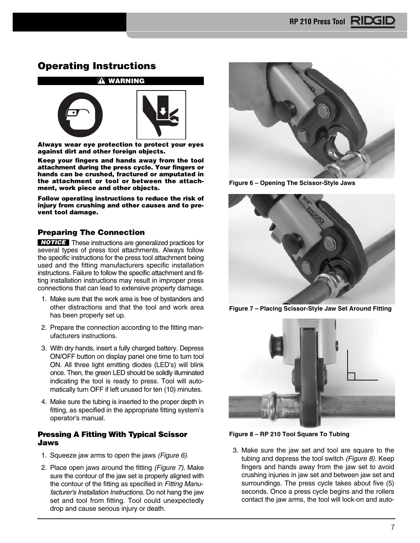## **Operating Instructions**



**Always wear eye protection to protect your eyes against dirt and other foreign objects.**

**Keep your fingers and hands away from the tool attachment during the press cycle. Your fingers or hands can be crushed, fractured or amputated in the attachment or tool or between the attachment, work piece and other objects.**

**Follow operating instructions to reduce the risk of injury from crushing and other causes and to prevent tool damage.**

## **Preparing The Connection**

**NOTICE** These instructions are generalized practices for several types of press tool attachments. Always follow the specific instructions for the press tool attachment being used and the fitting manufacturers specific installation instructions. Failure to follow the specific attachment and fitting installation instructions may result in improper press connections that can lead to extensive property damage.

- 1. Make sure that the work area is free of bystanders and other distractions and that the tool and work area has been properly set up.
- 2. Prepare the connection according to the fitting manufacturers instructions.
- 3. With dry hands, insert a fully charged battery. Depress ON/OFF button on display panel one time to turn tool ON. All three light emitting diodes (LED's) will blink once. Then, the green LED should be solidly illuminated indicating the tool is ready to press. Tool will automatically turn OFF if left unused for ten (10) minutes.
- 4. Make sure the tubing is inserted to the proper depth in fitting, as specified in the appropriate fitting system's operator's manual.

## **Pressing A Fitting With Typical Scissor Jaws**

- 1. Squeeze jaw arms to open the jaws (Figure 6).
- 2. Place open jaws around the fitting (Figure 7). Make sure the contour of the jaw set is properly aligned with the contour of the fitting as specified in Fitting Manufacturer's Installation Instructions. Do not hang the jaw set and tool from fitting. Tool could unexpectedly drop and cause serious injury or death.



**Figure 6 – Opening The Scissor-Style Jaws**



**Figure 7 – Placing Scissor-Style Jaw Set Around Fitting**



**Figure 8 – RP 210 Tool Square To Tubing**

3. Make sure the jaw set and tool are square to the tubing and depress the tool switch (Figure 8). Keep fingers and hands away from the jaw set to avoid crushing injuries in jaw set and between jaw set and surroundings. The press cycle takes about five (5) seconds. Once a press cycle begins and the rollers contact the jaw arms, the tool will lock-on and auto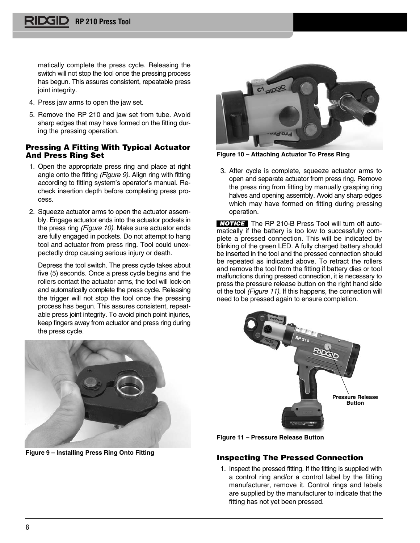matically complete the press cycle. Releasing the switch will not stop the tool once the pressing process has begun. This assures consistent, repeatable press joint integrity.

- 4. Press jaw arms to open the jaw set.
- 5. Remove the RP 210 and jaw set from tube. Avoid sharp edges that may have formed on the fitting during the pressing operation.

## **Pressing A Fitting With Typical Actuator And Press Ring Set**

- 1. Open the appropriate press ring and place at right angle onto the fitting (Figure 9). Align ring with fitting according to fitting system's operator's manual. Recheck insertion depth before completing press process.
- 2. Squeeze actuator arms to open the actuator assembly. Engage actuator ends into the actuator pockets in the press ring (Figure 10). Make sure actuator ends are fully engaged in pockets. Do not attempt to hang tool and actuator from press ring. Tool could unexpectedly drop causing serious injury or death.

Depress the tool switch. The press cycle takes about five (5) seconds. Once a press cycle begins and the rollers contact the actuator arms, the tool will lock-on and automatically complete the press cycle. Releasing the trigger will not stop the tool once the pressing process has begun. This assures consistent, repeatable press joint integrity. To avoid pinch point injuries, keep fingers away from actuator and press ring during the press cycle.



**Figure 9 – Installing Press Ring Onto Fitting**



**Figure 10 – Attaching Actuator To Press Ring**

3. After cycle is complete, squeeze actuator arms to open and separate actuator from press ring. Remove the press ring from fitting by manually grasping ring halves and opening assembly. Avoid any sharp edges which may have formed on fitting during pressing operation.

**NOTICE** The RP 210-B Press Tool will turn off automatically if the battery is too low to successfully complete a pressed connection. This will be indicated by blinking of the green LED. A fully charged battery should be inserted in the tool and the pressed connection should be repeated as indicated above. To retract the rollers and remove the tool from the fitting if battery dies or tool malfunctions during pressed connection, it is necessary to press the pressure release button on the right hand side of the tool (Figure 11). If this happens, the connection will need to be pressed again to ensure completion.



**Figure 11 – Pressure Release Button**

## **Inspecting The Pressed Connection**

1. Inspect the pressed fitting. If the fitting is supplied with a control ring and/or a control label by the fitting manufacturer, remove it. Control rings and labels are supplied by the manufacturer to indicate that the fitting has not yet been pressed.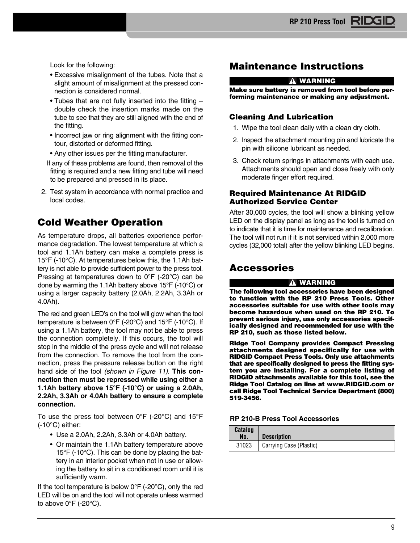Look for the following:

- Excessive misalignment of the tubes. Note that a slight amount of misalignment at the pressed connection is considered normal.
- Tubes that are not fully inserted into the fitting double check the insertion marks made on the tube to see that they are still aligned with the end of the fitting.
- Incorrect jaw or ring alignment with the fitting contour, distorted or deformed fitting.
- Any other issues per the fitting manufacturer.
- If any of these problems are found, then removal of the fitting is required and a new fitting and tube will need to be prepared and pressed in its place.
- 2. Test system in accordance with normal practice and local codes.

## **Cold Weather Operation**

As temperature drops, all batteries experience performance degradation. The lowest temperature at which a tool and 1.1Ah battery can make a complete press is 15°F (-10°C). At temperatures below this, the 1.1Ah battery is not able to provide sufficient power to the press tool. Pressing at temperatures down to 0°F (-20°C) can be done by warming the 1.1Ah battery above 15°F (-10°C) or using a larger capacity battery (2.0Ah, 2.2Ah, 3.3Ah or 4.0Ah).

The red and green LED's on the tool will glow when the tool temperature is between 0°F (-20°C) and 15°F (-10°C). If using a 1.1Ah battery, the tool may not be able to press the connection completely. If this occurs, the tool will stop in the middle of the press cycle and will not release from the connection. To remove the tool from the connection, press the pressure release button on the right hand side of the tool (shown in Figure 11). **This connection then must be repressed while using either a 1.1Ah battery above 15°F (-10°C) or using a 2.0Ah, 2.2Ah, 3.3Ah or 4.0Ah battery to ensure a complete connection.**

To use the press tool between 0°F (-20°C) and 15°F (-10°C) either:

- Use a 2.0Ah, 2.2Ah, 3.3Ah or 4.0Ah battery.
- Or maintain the 1.1Ah battery temperature above 15°F (-10°C). This can be done by placing the battery in an interior pocket when not in use or allowing the battery to sit in a conditioned room until it is sufficiently warm.

If the tool temperature is below  $0^{\circ}F$  (-20 $^{\circ}C$ ), only the red LED will be on and the tool will not operate unless warmed to above  $0^{\circ}$ F (-20 $^{\circ}$ C).

## **Maintenance Instructions**

#### **WARNING**

**Make sure battery is removed from tool before performing maintenance or making any adjustment.**

## **Cleaning And Lubrication**

- 1. Wipe the tool clean daily with a clean dry cloth.
- 2. Inspect the attachment mounting pin and lubricate the pin with silicone lubricant as needed.
- 3. Check return springs in attachments with each use. Attachments should open and close freely with only moderate finger effort required.

## **Required Maintenance At RIDGID Authorized Service Center**

After 30,000 cycles, the tool will show a blinking yellow LED on the display panel as long as the tool is turned on to indicate that it is time for maintenance and recalibration. The tool will not run if it is not serviced within 2,000 more cycles (32,000 total) after the yellow blinking LED begins.

## **Accessories**

### **WARNING**

**The following tool accessories have been de signed to function with the RP 210 Press Tools. Other accessories suitable for use with other tools may become hazardous when used on the RP 210. To prevent serious injury, use only accessories specifically designed and recommended for use with the RP 210, such as those listed below.**

**Ridge Tool Company provides Compact Pressing attachments designed specifically for use with RIDGID Compact Press Tools. Only use attachments that are specifically designed to press the fitting system you are installing. For a complete listing of RIDGID attachments available for this tool, see the Ridge Tool Catalog on line at www.RIDGID.com or call Ridge Tool Technical Service Department (800) 519-3456.**

## **RP 210-B Press Tool Accessories**

| Catalog<br>No. | <b>Description</b>      |
|----------------|-------------------------|
| 31023          | Carrying Case (Plastic) |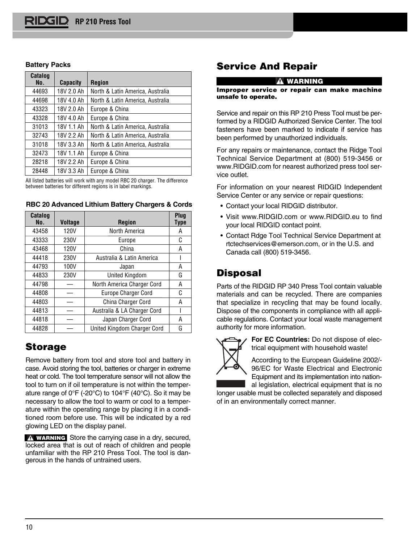### **Battery Packs**

| Catalog<br>No. | <b>Capacity</b> | <b>Region</b>                    |
|----------------|-----------------|----------------------------------|
| 44693          | 18V 2.0 Ah      | North & Latin America, Australia |
| 44698          | 18V 4.0 Ah      | North & Latin America, Australia |
| 43323          | 18V 2.0 Ah      | Europe & China                   |
| 43328          | 18V 4.0 Ah      | Europe & China                   |
| 31013          | 18V 1.1 Ah      | North & Latin America, Australia |
| 32743          | 18V 2.2 Ah      | North & Latin America, Australia |
| 31018          | 18V 3.3 Ah      | North & Latin America, Australia |
| 32473          | 18V 1.1 Ah      | Europe & China                   |
| 28218          | 18V 2.2 Ah      | Europe & China                   |
| 28448          | 18V 3.3 Ah      | Europe & China                   |

All listed batteries will work with any model RBC 20 charger. The difference between batteries for different regions is in label markings.

| Catalog<br>No. | <b>Voltage</b> | <b>Region</b>               | Plug<br>Type |
|----------------|----------------|-----------------------------|--------------|
| 43458          | 120V           | North America               | А            |
| 43333          | 230V           | Europe                      | C            |
| 43468          | 120V           | China                       | А            |
| 44418          | 230V           | Australia & Latin America   |              |
| 44793          | 100V           | Japan                       | Α            |
| 44833          | 230V           | <b>United Kingdom</b>       | G            |
| 44798          |                | North America Charger Cord  | Α            |
| 44808          |                | <b>Europe Charger Cord</b>  | C            |
| 44803          |                | China Charger Cord          | А            |
| 44813          |                | Australia & LA Charger Cord |              |
| 44818          |                | Japan Charger Cord          | А            |
| 44828          |                | United Kingdom Charger Cord | G            |

**RBC 20 Advanced Lithium Battery Chargers & Cords**

## **Storage**

Remove battery from tool and store tool and battery in case. Avoid storing the tool, batteries or charger in extreme heat or cold. The tool temperature sensor will not allow the tool to turn on if oil temperature is not within the temperature range of 0°F (-20°C) to 104°F (40°C). So it may be necessary to allow the tool to warm or cool to a temperature within the operating range by placing it in a conditioned room before use. This will be indicated by a red glowing LED on the display panel.

**WARNING** Store the carrying case in a dry, secured, locked area that is out of reach of children and people unfamiliar with the RP 210 Press Tool. The tool is dangerous in the hands of untrained users.

## **Service And Repair**

#### **WARNING**

#### **Improper service or repair can make machine unsafe to operate.**

Service and repair on this RP 210 Press Tool must be performed by a RIDGID Authorized Service Center. The tool fasteners have been marked to indicate if service has been performed by unauthorized individuals.

For any repairs or maintenance, contact the Ridge Tool Technical Service Department at (800) 519-3456 or www.RIDGID.com for nearest authorized press tool service outlet.

For information on your nearest RIDGID Independent Service Center or any service or repair questions:

- Contact your local RIDGID distributor.
- Visit www.RIDGID.com or www.RIDGID.eu to find your local RIDGID contact point.
- Contact Rdge Tool Technical Service Department at rtctechservices@emerson.com, or in the U.S. and Canada call (800) 519-3456.

## **Disposal**

Parts of the RIDGID RP 340 Press Tool contain valuable materials and can be recycled. There are companies that specialize in recycling that may be found locally. Dispose of the components in compliance with all applicable regulations. Contact your local waste management authority for more information.



**For EC Countries:** Do not dispose of electrical equipment with household waste!

According to the European Guideline 2002/-96/EC for Waste Electrical and Electronic Equipment and its implementation into national legislation, electrical equipment that is no

longer usable must be collected separately and disposed of in an environmentally correct manner.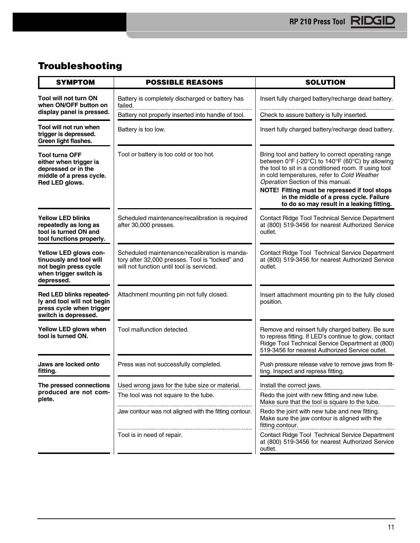## **Troubleshooting**

| <b>SYMPTOM</b>                                                                                                       | <b>POSSIBLE REASONS</b>                                                                                                                       | <b>SOLUTION</b>                                                                                                                                                                                                                                                                                                                                                                           |
|----------------------------------------------------------------------------------------------------------------------|-----------------------------------------------------------------------------------------------------------------------------------------------|-------------------------------------------------------------------------------------------------------------------------------------------------------------------------------------------------------------------------------------------------------------------------------------------------------------------------------------------------------------------------------------------|
| <b>Tool will not turn ON</b><br>when ON/OFF button on                                                                | Battery is completely discharged or battery has<br>failed.                                                                                    | Insert fully charged battery/recharge dead battery.                                                                                                                                                                                                                                                                                                                                       |
| display panel is pressed.                                                                                            | Battery not properly inserted into handle of tool.                                                                                            | Check to assure battery is fully inserted.                                                                                                                                                                                                                                                                                                                                                |
| Tool will not run when<br>trigger is depressed.<br>Green light flashes.                                              | Battery is too low.                                                                                                                           | Insert fully charged battery/recharge dead battery.                                                                                                                                                                                                                                                                                                                                       |
| <b>Tool turns OFF</b><br>either when trigger is<br>depressed or in the<br>middle of a press cycle.<br>Red LED glows. | Tool or battery is too cold or too hot.                                                                                                       | Bring tool and battery to correct operating range<br>between 0°F (-20°C) to 140°F (60°C) by allowing<br>the tool to sit in a conditioned room. If using tool<br>in cold temperatures, refer to Cold Weather<br>Operation Section of this manual.<br>NOTE! Fitting must be repressed if tool stops<br>in the middle of a press cycle. Failure<br>to do so may result in a leaking fitting. |
| <b>Yellow LED blinks</b><br>repeatedly as long as<br>tool is turned ON and<br>tool functions properly.               | Scheduled maintenance/recalibration is required<br>after 30,000 presses.                                                                      | Contact Ridge Tool Technical Service Department<br>at (800) 519-3456 for nearest Authorized Service<br>outlet.                                                                                                                                                                                                                                                                            |
| Yellow LED glows con-<br>tinuously and tool will<br>not begin press cycle<br>when trigger switch is<br>depressed.    | Scheduled maintenance/recalibration is manda-<br>tory after 32,000 presses. Tool is "locked" and<br>will not function until tool is serviced. | Contact Ridge Tool Technical Service Department<br>at (800) 519-3456 for nearest Authorized Service<br>outlet.                                                                                                                                                                                                                                                                            |
| Red LED blinks repeated-<br>ly and tool will not begin<br>press cycle when trigger<br>switch is depressed.           | Attachment mounting pin not fully closed.                                                                                                     | Insert attachment mounting pin to the fully closed<br>position.                                                                                                                                                                                                                                                                                                                           |
| Yellow LED glows when<br>tool is turned ON.                                                                          | Tool malfunction detected.                                                                                                                    | Remove and reinsert fully charged battery. Be sure<br>to repress fitting. If LED's continue to glow, contact<br>Ridge Tool Technical Service Department at (800)<br>519-3456 for nearest Authorized Service outlet.                                                                                                                                                                       |
| Jaws are locked onto<br>fitting.                                                                                     | Press was not successfully completed.                                                                                                         | Push pressure release valve to remove jaws from fit-<br>ting. Inspect and repress fitting.                                                                                                                                                                                                                                                                                                |
| The pressed connections                                                                                              | Used wrong jaws for the tube size or material.                                                                                                | Install the correct jaws.                                                                                                                                                                                                                                                                                                                                                                 |
| produced are not com-<br>plete.                                                                                      | The tool was not square to the tube.                                                                                                          | Redo the joint with new fitting and new tube.<br>Make sure that the tool is square to the tube.                                                                                                                                                                                                                                                                                           |
|                                                                                                                      | Jaw contour was not aligned with the fitting contour.                                                                                         | Redo the joint with new tube and new fitting.<br>Make sure the jaw contour is aligned with the<br>fitting contour.                                                                                                                                                                                                                                                                        |
|                                                                                                                      | Tool is in need of repair.                                                                                                                    | Contact Ridge Tool Technical Service Department<br>at (800) 519-3456 for nearest Authorized Service<br>outlet.                                                                                                                                                                                                                                                                            |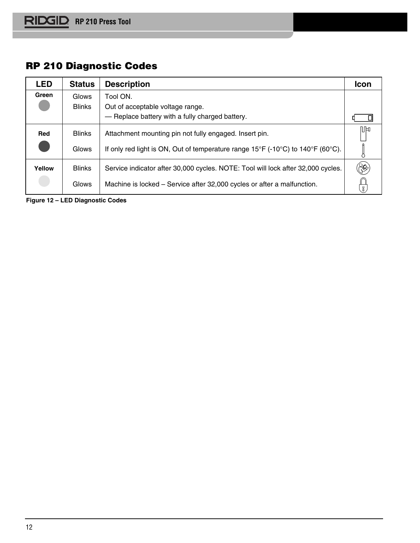## **RP 210 Diagnostic Codes**

| <b>LED</b> | <b>Status</b> | <b>Description</b>                                                                                                      | <b>Icon</b> |
|------------|---------------|-------------------------------------------------------------------------------------------------------------------------|-------------|
| Green      | Glows         | Tool ON.                                                                                                                |             |
|            | <b>Blinks</b> | Out of acceptable voltage range.                                                                                        |             |
|            |               | - Replace battery with a fully charged battery.                                                                         |             |
| Red        | <b>Blinks</b> | Attachment mounting pin not fully engaged. Insert pin.                                                                  | 11日         |
|            | Glows         | If only red light is ON, Out of temperature range $15^{\circ}F$ (-10 $^{\circ}C$ ) to $140^{\circ}F$ (60 $^{\circ}C$ ). |             |
| Yellow     | <b>Blinks</b> | Service indicator after 30,000 cycles. NOTE: Tool will lock after 32,000 cycles.                                        |             |
|            | Glows         | Machine is locked – Service after 32,000 cycles or after a malfunction.                                                 |             |

**Figure 12 – LED Diagnostic Codes**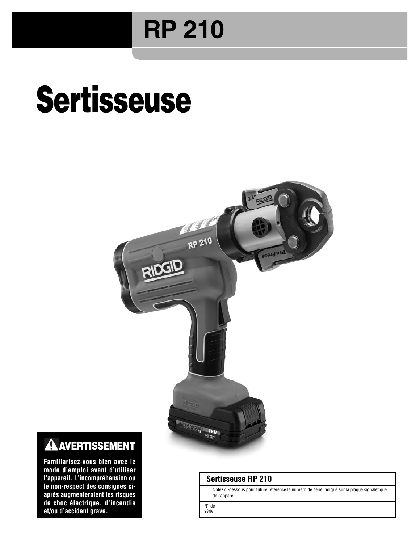## **RP 210**

# **Sertisseuse**



## **A AVERTISSEMENT**

**Familiarisez-vous bien avec le mode d'emploi avant d'utiliser l'appareil. L'incompréhension ou le non-respect des consignes ciaprès augmenteraient les risques de choc électrique, d'incendie et/ou d'accident grave.**

## **Sertisseuse RP 210**

Notez ci-dessous pour future référence le numéro de série indiqué sur la plaque signalétique de l'appareil.

N° de série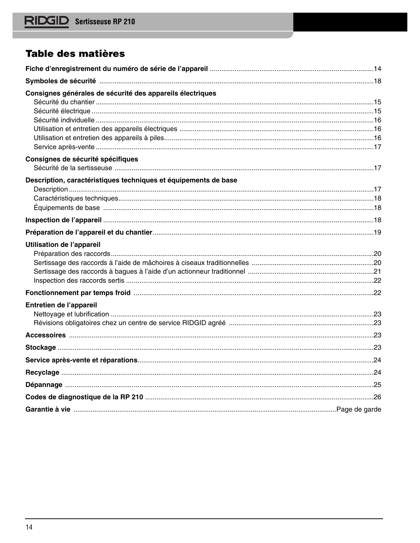## Table des matières

| Consignes générales de sécurité des appareils électriques       |  |
|-----------------------------------------------------------------|--|
|                                                                 |  |
|                                                                 |  |
|                                                                 |  |
|                                                                 |  |
|                                                                 |  |
| Consignes de sécurité spécifiques                               |  |
| Description, caractéristiques techniques et équipements de base |  |
|                                                                 |  |
|                                                                 |  |
|                                                                 |  |
|                                                                 |  |
| <b>Utilisation de l'appareil</b>                                |  |
|                                                                 |  |
|                                                                 |  |
|                                                                 |  |
|                                                                 |  |
| Entretien de l'appareil                                         |  |
|                                                                 |  |
|                                                                 |  |
|                                                                 |  |
|                                                                 |  |
|                                                                 |  |
|                                                                 |  |
|                                                                 |  |
|                                                                 |  |
|                                                                 |  |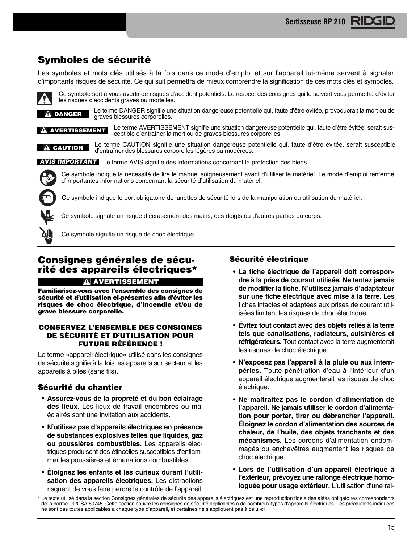## **Symboles de sécurité**

Les symboles et mots clés utilisés à la fois dans ce mode d'emploi et sur l'appareil lui-même servent à signaler d'importants risques de sécurité. Ce qui suit permettra de mieux comprendre la signification de ces mots clés et symboles.

Ce symbole sert à vous avertir de risques d'accident potentiels. Le respect des consignes qui le suivent vous permettra d'éviter les risques d'accidents graves ou mortelles.

Le terme DANGER signifie une situation dangereuse potentielle qui, faute d'être évitée, provoquerait la mort ou de graves blessures corporelles. **DANGER**

Le terme AVERTISSEMENT signifie une situation dangereuse potentielle qui, faute d'être évitée, serait susceptible d'entraîner la mort ou de graves blessures corporelles. **A AVERTISSEMENT** 

Le terme CAUTION signifie une situation dangereuse potentielle qui, faute d'être évitée, serait susceptible d'entraîner des blessures corporelles légères ou modérées. **A** CAUTION

**AVIS IMPORTANT** Le terme AVIS signifie des informations concernant la protection des biens.

Ce symbole indique la nécessité de lire le manuel soigneusement avant d'utiliser le matériel. Le mode d'emploi renferme d'importantes informations concernant la sécurité d'utilisation du matériel.

Ce symbole indique le port obligatoire de lunettes de sécurité lors de la manipulation ou utilisation du matériel.

Ce symbole signale un risque d'écrasement des mains, des doigts ou d'autres parties du corps.



Ce symbole signifie un risque de choc électrique.

## **Consignes générales de sécurité des appareils électriques\***

**A AVERTISSEMENT** 

**Familiarisez-vous avec l'ensemble des consignes de sécurité et d'utilisation ci-présentes afin d'éviter les risques de choc électrique, d'incendie et/ou de grave blessure corporelle.**

## **CONSERVEZ L'ENSEMBLE DES CONSIGNES DE SÉCURITÉ ET D'UTILISATION POUR FUTURE RÉFÉRENCE !**

Le terme «appareil électrique» utilisé dans les consignes de sécurité signifie à la fois les appareils sur secteur et les appareils à piles (sans fils).

## **Sécurité du chantier**

- **Assurez-vous de la propreté et du bon éclairage des lieux.** Les lieux de travail encombrés ou mal éclairés sont une invitation aux accidents.
- **N'utilisez pas d'appareils électriques en présence de substances explosives telles que liquides, gaz ou poussières combustibles.** Les appareils électriques produisent des étincelles susceptibles d'enflammer les poussières et émanations combustibles.
- **Éloignez les enfants et les curieux durant l'utili sation des appareils électriques.** Les distractions risquent de vous faire perdre le contrôle de l'appareil.

## **Sécurité électrique**

- **La fiche électrique de l'appareil doit correspondre à la prise de courant utilisée. Ne tentez jamais de modifier la fiche. N'utilisez jamais d'adaptateur sur une fiche électrique avec mise à la terre.** Les fiches intactes et adaptées aux prises de courant utilisées limitent les risques de choc électrique.
- **Évitez tout contact avec des objets reliés à la terre tels que canalisations, radiateurs, cuisinières et réfrigérateurs.** Tout contact avec la terre augmenterait les risques de choc électrique.
- **N'exposez pas l'appareil à la pluie ou aux intempéries.** Toute pénétration d'eau à l'intérieur d'un appareil électrique augmenterait les risques de choc électrique.
- **Ne maltraitez pas le cordon d'alimentation de** l'appareil. Ne jamais utiliser le cordon d'alimenta**tion pour porter, tirer ou débrancher l'appareil. Éloignez le cordon d'alimentation des sources de chaleur, de l'huile, des objets tranchants et des mécanismes.** Les cordons d'alimentation endommagés ou enchevêtrés augmentent les risques de choc électrique.
- **Lors de l'utilisation d'un appareil électrique à l'extérieur, prévoyez une rallonge électrique homologuée pour usage extérieur.** L'utilisation d'une ral-

Le texte utilisé dans la section Consignes générales de sécurité des appareils électriques est une reproduction fidèle des aléas obligatoires correspondants de la norme UL/CSA 60745. Cette section couvre les consignes de sécurité applicables à de nombreux types d'appareils électriques. Les précautions indiquées ne sont pas toutes applicables à chaque type d'appareil, et certaines ne s'appliquent pas à celui-ci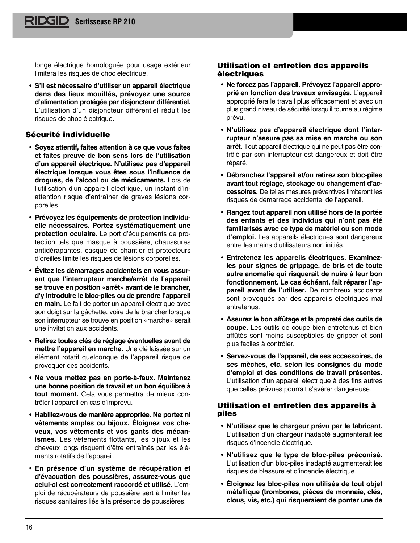longe électrique homologuée pour usage extérieur limitera les risques de choc électrique.

• **S'il est nécessaire d'utiliser un appareil électrique dans des lieux mouillés, prévoyez une source d'alimentation protégée par disjoncteur différentiel.** L'utilisation d'un disjoncteur différentiel réduit les risques de choc électrique.

## **Sécurité individuelle**

- **Soyez attentif, faites attention à ce que vous faites et faites preuve de bon sens lors de l'utilisation d'un appareil électrique. N'utilisez pas d'appareil électrique lorsque vous êtes sous l'influence de drogues, de l'alcool ou de médicaments.** Lors de l'utilisation d'un appareil électrique, un instant d'inattention risque d'entraîner de graves lésions corporelles.
- **Prévoyez les équipements de protection individuelle nécessaires. Portez systématiquement une protection oculaire.** Le port d'équipements de protection tels que masque à poussière, chaussures antidérapantes, casque de chantier et protecteurs d'oreilles limite les risques de lésions corporelles.
- **Évitez les démarrages accidentels en vous assurant que l'interrupteur marche/arrêt de l'appareil se trouve en position «arrêt» avant de le brancher, d'y introduire le bloc-piles ou de prendre l'appareil en main.** Le fait de porter un appareil électrique avec son doigt sur la gâchette, voire de le brancher lorsque son interrupteur se trouve en position «marche» serait une invitation aux accidents.
- **Retirez toutes clés de réglage éventuelles avant de mettre l'appareil en marche.** Une clé laissée sur un élément rotatif quelconque de l'appareil risque de provoquer des accidents.
- **Ne vous mettez pas en porte-à-faux. Maintenez une bonne position de travail et un bon équilibre à tout moment.** Cela vous permettra de mieux contrôler l'appareil en cas d'imprévu.
- **Habillez-vous de manière appropriée. Ne portez ni vêtements amples ou bijoux. Éloignez vos che veux, vos vêtements et vos gants des mécanismes.** Les vêtements flottants, les bijoux et les che veux longs risquent d'être entraînés par les éléments rotatifs de l'appareil.
- **En présence d'un système de récupération et d'évacuation des poussières, assurez-vous que celui-ci est correctement raccordé et utilisé.** L'em ploi de récupérateurs de poussière sert à limiter les risques sanitaires liés à la présence de poussières.

## **Utilisation et entretien des appareils électriques**

- **Ne forcez pas l'appareil. Prévoyez l'appareil approprié en fonction des travaux envisagés.** L'appareil approprié fera le travail plus efficacement et avec un plus grand niveau de sécurité lorsqu'il tourne au régime prévu.
- **N'utilisez pas d'appareil électrique dont l'inter rupteur n'assure pas sa mise en marche ou son arrêt.** Tout appareil électrique qui ne peut pas être contrôlé par son interrupteur est dangereux et doit être réparé.
- **Débranchez l'appareil et/ou retirez son bloc-piles avant tout réglage, stockage ou changement d'ac cessoires.** De telles mesures préventives limiteront les risques de démarrage accidentel de l'appareil.
- **Rangez tout appareil non utilisé hors de la portée des enfants et des individus qui n'ont pas été** familiarisés avec ce type de matériel ou son mode **d'emploi.** Les appareils électriques sont dangereux entre les mains d'utilisateurs non initiés.
- **Entretenez les appareils électriques. Examinezles pour signes de grippage, de bris et de toute autre anomalie qui risquerait de nuire à leur bon fonctionnement. Le cas échéant, fait réparer l'ap pareil avant de l'utiliser.** De nombreux accidents sont provoqués par des appareils électriques mal entretenus.
- **Assurez le bon affûtage et la propreté des outils de coupe.** Les outils de coupe bien entretenus et bien affûtés sont moins susceptibles de gripper et sont plus faciles à contrôler.
- **Servez-vous de l'appareil, de ses accessoires, de ses mèches, etc. selon les consignes du mode d'emploi et des conditions de travail présentes.** L'utilisation d'un appareil électrique à des fins autres que celles prévues pourrait s'avérer dangereuse.

## **Utilisation et entretien des appareils à piles**

- **N'utilisez que le chargeur prévu par le fabricant.** L'utilisation d'un chargeur inadapté augmenterait les risques d'incendie électrique.
- **N'utilisez que le type de bloc-piles préconisé.** L'utilisation d'un bloc-piles inadapté augmenterait les risques de blessure et d'incendie électrique.
- **Éloignez les bloc-piles non utilisés de tout objet métallique (trombones, pièces de monnaie, clés, clous, vis, etc.) qui risqueraient de ponter une de**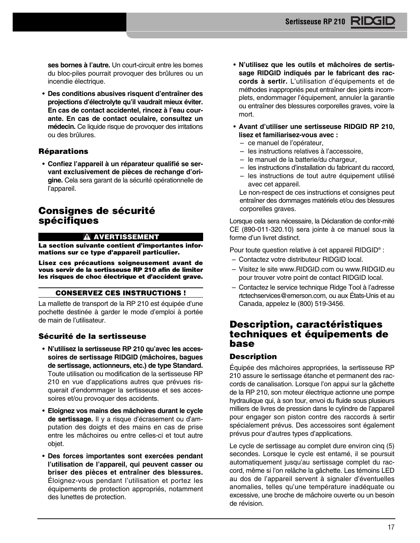**ses bornes à l'autre.** Un court-circuit entre les bornes du bloc-piles pourrait provoquer des brûlures ou un incendie électrique.

• **Des conditions abusives risquent d'entraîner des projections d'électrolyte qu'il vaudrait mieux éviter. En cas de contact accidentel, rincez à l'eau cour ante. En cas de contact oculaire, consultez un médecin.** Ce liquide risque de provoquer des irritations ou des brûlures.

## **Réparations**

• **Confiez l'appareil à un réparateur qualifié se ser**vant exclusivement de pièces de rechange d'ori**gine.** Cela sera garant de la sécurité opérationnelle de l'appareil.

## **Consignes de sécurité spécifiques**

#### **A AVERTISSEMENT**

**La section suivante contient d'importantes informations sur ce type d'appareil particulier.**

**Lisez ces précautions soigneusement avant de vous servir de la sertisseuse RP 210 afin de limiter les risques de choc électrique et d'accident grave.**

### **CONSERVEZ CES INSTRUCTIONS !**

La mallette de transport de la RP 210 est équipée d'une pochette destinée à garder le mode d'emploi à portée de main de l'utilisateur.

## **Sécurité de la sertisseuse**

- **N'utilisez la sertisseuse RP 210 qu'avec les accessoires de sertissage RIDGID (mâchoires, bagues de sertissage, actionneurs, etc.) de type Standard.** Toute utilisation ou modification de la sertisseuse RP 210 en vue d'applications autres que prévues risquerait d'endommager la sertisseuse et ses accessoires et/ou provoquer des accidents.
- **Eloignez vos mains des mâchoires durant le cycle** de sertissage. Il y a risque d'écrasement ou d'amputation des doigts et des mains en cas de prise entre les mâchoires ou entre celles-ci et tout autre objet.
- **Des forces importantes sont exercées pendant l'utilisation de l'appareil, qui peuvent casser ou briser des pièces et entraîner des blessures.** Éloignez-vous pendant l'utilisation et portez les équipements de protection appropriés, notamment des lunettes de protection.
- **N'utilisez que les outils et mâchoires de sertissage RIDGID indiqués par le fabricant des raccords à sertir.** L'utilisation d'équipements et de méthodes inappropriés peut entraîner des joints incomplets, endommager l'équipement, annuler la garantie ou entraîner des blessures corporelles graves, voire la mort.
- **Avant d'utiliser une sertisseuse RIDGID RP 210, lisez et familiarisez-vous avec :** 
	- ce manuel de l'opérateur,
	- les instructions relatives à l'accessoire,
	- le manuel de la batterie/du chargeur,
	- les instructions d'installation du fabricant du raccord,
	- les instructions de tout autre équipement utilisé avec cet appareil.

Le non-respect de ces instructions et consignes peut entraîner des dommages matériels et/ou des blessures corporelles graves.

Lorsque cela sera nécessaire, la Déclaration de confor-mité CE (890-011-320.10) sera jointe à ce manuel sous la forme d'un livret distinct.

Pour toute question relative à cet appareil RIDGID® :

- Contactez votre distributeur RIDGID local.
- Visitez le site www.RIDGID.com ou www.RIDGID.eu pour trouver votre point de contact RIDGID local.
- Contactez le service technique Ridge Tool à l'adres se rtctechservices@emerson.com, ou aux États-Unis et au Canada, appelez le (800) 519-3456.

## **Description, caractéristiques techniques et équipements de base**

## **Description**

Équipée des mâchoires appropriées, la sertisseuse RP 210 assure le sertissage étanche et permanent des raccords de canalisation. Lorsque l'on appui sur la gâchette de la RP 210, son moteur électrique actionne une pompe hydraulique qui, à son tour, envoi du fluide sous plusieurs milliers de livres de pression dans le cylindre de l'appareil pour engager son piston contre des raccords à sertir spécialement prévus. Des accessoires sont également prévus pour d'autres types d'applications.

Le cycle de sertissage au complet dure environ cinq (5) secondes. Lorsque le cycle est entamé, il se poursuit automatiquement jusqu'au sertissage complet du raccord, même si l'on relâche la gâchette. Les témoins LED au dos de l'appareil servent à signaler d'éventuelles anomalies, telles qu'une température inadéquate ou excessive, une broche de mâchoire ouverte ou un besoin de révision.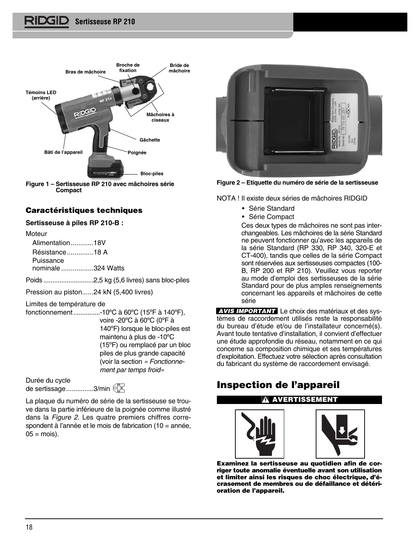

**Figure 1 – Sertisseuse RP 210 avec mâchoires série Compact**

## **Caractéristiques techniques**

## **Sertisseuse à piles RP 210-B :**

**Moteur** 

Alimentation............18V Résistance..............18 A Puissance nominale .................324 Watts

Poids ............................2,5 kg (5,6 livres) sans bloc-piles

Pression au piston......24 kN (5,400 livres)

Limites de température de

fonctionnement...............-10ºC à 60ºC (15ºF à 140ºF), voire -20ºC à 60ºC (0ºF à 140ºF) lorsque le bloc-piles est maintenu à plus de -10ºC (15ºF) ou remplacé par un bloc piles de plus grande capacité (voir la section « Fonctionne ment par temps froid»

Durée du cycle de sertissage...............3/min 6

La plaque du numéro de série de la sertisseuse se trouve dans la partie inférieure de la poignée comme illustré dans la Figure 2. Les quatre premiers chiffres correspondent à l'année et le mois de fabrication (10 = année,  $05 = \text{mois}$ ).



**Figure 2 – Étiquette du numéro de série de la sertisseuse**

NOTA ! Il existe deux séries de mâchoires RIDGID

- Série Standard
- Série Compact

Ces deux types de mâchoires ne sont pas interchangeables. Les mâchoires de la série Standard ne peuvent fonctionner qu'avec les appareils de la série Standard (RP 330, RP 340, 320-E et CT-400), tandis que celles de la série Compact sont réservées aux sertisseuses compactes (100- B, RP 200 et RP 210). Veuillez vous reporter au mode d'emploi des sertisseuses de la série Standard pour de plus amples renseignements concernant les appareils et mâchoires de cette série

**AVIS IMPORTANT** Le choix des matériaux et des systèmes de raccordement utilisés reste la responsabilité du bureau d'étude et/ou de l'installateur concerné(s). Avant toute tentative d'installation, il convient d'effectuer une étude approfondie du réseau, notamment en ce qui concerne sa composition chimique et ses températures d'exploitation. Effectuez votre sélection après consultation du fabricant du système de raccordement envisagé.

## **Inspection de l'appareil**





**Examinez la sertisseuse au quotidien afin de corriger toute anomalie éventuelle avant son utilisation et limiter ainsi les risques de choc électrique, d'é crase ment de membres ou de défaillance et détérioration de l'appareil.**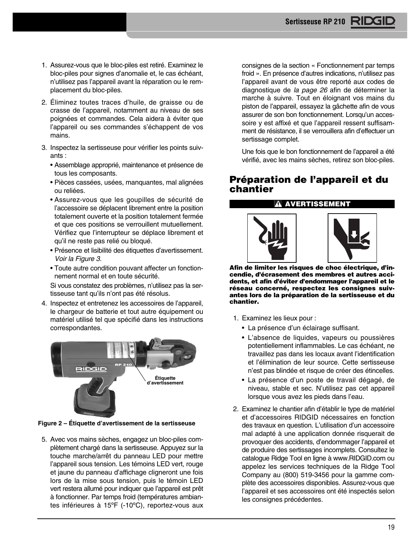- 1. Assurez-vous que le bloc-piles est retiré. Examinez le bloc-piles pour signes d'anomalie et, le cas échéant, n'utilisez pas l'appareil avant la réparation ou le remplacement du bloc-piles.
- 2. Éliminez toutes traces d'huile, de graisse ou de crasse de l'appareil, notamment au niveau de ses poignées et commandes. Cela aidera à éviter que l'appareil ou ses commandes s'échappent de vos mains.
- 3. Inspectez la sertisseuse pour vérifier les points suivants :
	- Assemblage approprié, maintenance et présence de tous les composants.
	- Pièces cassées, usées, manquantes, mal alignées ou reliées.
	- Assurez-vous que les goupilles de sécurité de l'accessoire se déplacent librement entre la position totalement ouverte et la position totalement fermée et que ces positions se verrouillent mutuellement. Vérifiez que l'interrupteur se déplace librement et qu'il ne reste pas relié ou bloqué.
	- Présence et lisibilité des étiquettes d'avertis sement. Voir la Figure 3.
	- Toute autre condition pouvant affecter un fonctionnement normal et en toute sécurité.

Si vous constatez des problèmes, n'utilisez pas la sertisseuse tant qu'ils n'ont pas été résolus.

4. Inspectez et entretenez les accessoires de l'appareil, le chargeur de batterie et tout autre équipement ou matériel utilisé tel que spécifié dans les instructions correspondantes.



**Figure 2 – Étiquette d'avertissement de la sertisseuse**

5. Avec vos mains sèches, engagez un bloc-piles complètement chargé dans la sertisseuse. Appuyez sur la touche marche/arrêt du panneau LED pour mettre l'appareil sous tension. Les témoins LED vert, rouge et jaune du panneau d'affichage cligneront une fois lors de la mise sous tension, puis le témoin LED vert restera allumé pour indiquer que l'appareil est prêt à fonctionner. Par temps froid (températures ambiantes inférieures à 15ºF (-10ºC), reportez-vous aux

consignes de la section « Fonctionnement par temps froid ». En présence d'autres indications, n'utilisez pas l'appareil avant de vous être reporté aux codes de diagnostique de la page 26 afin de déterminer la marche à suivre. Tout en éloignant vos mains du piston de l'appareil, essayez la gâchette afin de vous assurer de son bon fonctionnement. Lorsqu'un accessoire y est affixé et que l'appareil ressent suffisamment de résistance, il se verrouillera afin d'effectuer un sertissage complet.

Une fois que le bon fonctionnement de l'appareil a été vérifié, avec les mains sèches, retirez son bloc-piles.

## **Préparation de l'appareil et du chantier**

### **AVERTISSEMENT**





**Afin de limiter les risques de choc électrique, d'in cendie, d'écrasement des membres et autres accidents, et afin d'éviter d'endommager l'appareil et le réseau concerné, respectez les consignes suivantes lors de la préparation de la sertisseuse et du chantier.**

- 1. Examinez les lieux pour :
	- La présence d'un éclairage suffisant.
	- L'absence de liquides, vapeurs ou poussières potentiellement inflammables. Le cas échéant, ne travaillez pas dans les locaux avant l'identification et l'élimination de leur source. Cette sertisseuse n'est pas blindée et risque de créer des étincelles.
	- La présence d'un poste de travail dégagé, de niveau, stable et sec. N'utilisez pas cet appareil lorsque vous avez les pieds dans l'eau.
- 2. Examinez le chantier afin d'établir le type de matériel et d'accessoires RIDGID nécessaires en fonction des travaux en question. L'utilisation d'un accessoire mal adapté à une application donnée risquerait de provoquer des accidents, d'endommager l'appareil et de produire des sertissages incomplets. Consultez le catalogue Ridge Tool en ligne à www.RIDGID.com ou appelez les services techniques de la Ridge Tool Company au (800) 519-3456 pour la gamme complète des accessoires disponibles. Assurez-vous que l'appareil et ses accessoires ont été inspectés selon les consignes précédentes.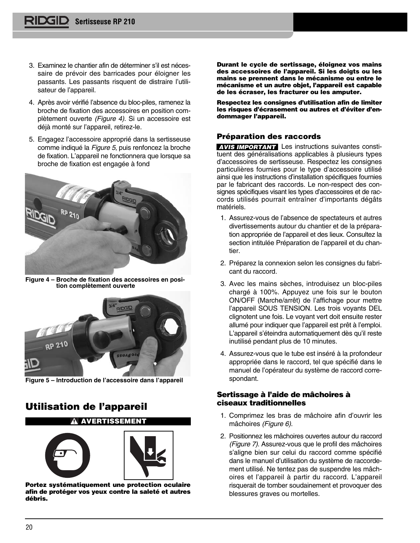- 3. Examinez le chantier afin de déterminer s'il est nécessaire de prévoir des barricades pour éloigner les passants. Les passants risquent de distraire l'utilisateur de l'appareil.
- 4. Après avoir vérifié l'absence du bloc-piles, ramenez la broche de fixation des accessoires en position complètement ouverte (Figure 4). Si un accessoire est déjà monté sur l'appareil, retirez-le.
- 5. Engagez l'accessoire approprié dans la sertisseuse comme indiqué la Figure 5, puis renfoncez la broche de fixation. L'appareil ne fonctionnera que lorsque sa broche de fixation est engagée à fond



**Figure 4 – Broche de fixation des accessoires en position complètement ouverte**



**Figure 5 – Introduction de l'accessoire dans l'appareil**

## **Utilisation de l'appareil**



**Portez systématiquement une protection oculaire afin de protéger vos yeux contre la saleté et autres débris.**

**Durant le cycle de sertissage, éloignez vos mains des accessoires de l'appareil. Si les doigts ou les mains se prennent dans le mécanisme ou entre le mécanisme et un autre objet, l'appareil est capable de les écraser, les fracturer ou les amputer.**

**Respectez les consignes d'utilisation afin de limiter** les risques d'écrasement ou autres et d'éviter d'en**dommager l'appareil.**

## **Préparation des raccords**

**AVIS IMPORTANT** Les instructions suivantes constituent des généralisations applicables à plusieurs types d'accessoires de sertisseuse. Respectez les consignes particulières fournies pour le type d'accessoire utilisé ainsi que les instructions d'installation spécifiques fournies par le fabricant des raccords. Le non-respect des consignes spécifiques visant les types d'accessoires et de raccords utilisés pourrait entraîner d'importants dégâts maté riels.

- 1. Assurez-vous de l'absence de spectateurs et autres divertissements autour du chantier et de la préparation appropriée de l'appareil et des lieux. Consultez la section intitulée Préparation de l'appareil et du chantier.
- 2. Préparez la connexion selon les consignes du fabricant du raccord.
- 3. Avec les mains sèches, introduisez un bloc-piles chargé à 100%. Appuyez une fois sur le bouton ON/OFF (Marche/arrêt) de l'affichage pour mettre l'appareil SOUS TENSION. Les trois voyants DEL clignotent une fois. Le voyant vert doit ensuite rester allumé pour indiquer que l'appareil est prêt à l'emploi. L'appareil s'éteindra automatiquement dès qu'il reste inutilisé pendant plus de 10 minutes.
- 4. Assurez-vous que le tube est inséré à la profondeur appropriée dans le raccord, tel que spécifié dans le manuel de l'opérateur du système de raccord correspondant.

## **Sertissage à l'aide de mâchoires à ciseaux traditionnelles**

- 1. Comprimez les bras de mâchoire afin d'ouvrir les mâchoires (Figure 6).
- 2. Positionnez les mâchoires ouvertes autour du raccord (Figure 7). Assurez-vous que le profil des mâchoires s'aligne bien sur celui du raccord comme spécifié dans le manuel d'utilisation du système de raccorde ment utilisé. Ne tentez pas de suspendre les mâchoires et l'appareil à partir du raccord. L'appareil risquerait de tomber soudainement et provoquer des blessures graves ou mortelles.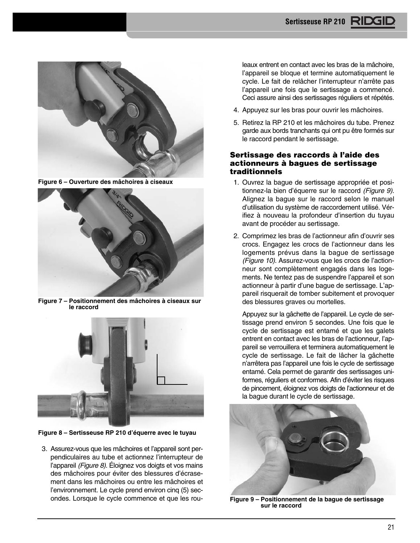

**Figure 6 – Ouverture des mâchoires à ciseaux**



**Figure 7 – Positionnement des mâchoires à ciseaux sur le raccord**



**Figure 8 – Sertisseuse RP 210 d'équerre avec le tuyau**

3. Assurez-vous que les mâchoires et l'appareil sont perpendiculaires au tube et actionnez l'interrupteur de l'appareil (Figure 8). Éloignez vos doigts et vos mains des mâchoires pour éviter des blessures d'écrasement dans les mâchoires ou entre les mâchoires et l'environnement. Le cycle prend environ cinq (5) secondes. Lorsque le cycle commence et que les rouleaux entrent en contact avec les bras de la mâchoire, l'appareil se bloque et termine automatiquement le cycle. Le fait de relâcher l'interrupteur n'arrête pas l'appareil une fois que le sertissage a commencé. Ceci assure ainsi des sertissages réguliers et répétés.

- 4. Appuyez sur les bras pour ouvrir les mâchoires.
- 5. Retirez la RP 210 et les mâchoires du tube. Prenez garde aux bords tranchants qui ont pu être formés sur le raccord pendant le sertissage.

## **Sertissage des raccords à l'aide des actionneurs à bagues de sertissage traditionnels**

- 1. Ouvrez la bague de sertissage appropriée et positionnez-la bien d'équerre sur le raccord (Figure 9). Alignez la bague sur le raccord selon le manuel d'utilisation du système de raccordement utilisé. Vérifiez à nouveau la profondeur d'insertion du tuyau avant de procéder au sertissage.
- 2. Comprimez les bras de l'actionneur afin d'ouvrir ses crocs. Engagez les crocs de l'actionneur dans les logements prévus dans la bague de sertissage (Figure 10). Assurez-vous que les crocs de l'actionneur sont complètement engagés dans les logements. Ne tentez pas de suspendre l'appareil et son actionneur à partir d'une bague de sertissage. L'ap pareil risquerait de tomber subitement et provoquer des blessures graves ou mortelles.

Appuyez sur la gâchette de l'appareil. Le cycle de sertissage prend environ 5 secondes. Une fois que le cycle de sertissage est entamé et que les galets entrent en contact avec les bras de l'actionneur, l'appareil se verrouillera et terminera automatiquement le cycle de sertissage. Le fait de lâcher la gâchette n'arrêtera pas l'appareil une fois le cycle de sertissage entamé. Cela permet de garantir des sertissages uniformes, réguliers et conformes. Afin d'éviter les risques de pincement, éloignez vos doigts de l'action neur et de la bague durant le cycle de sertissage.



**Figure 9 – Positionnement de la bague de sertissage sur le raccord**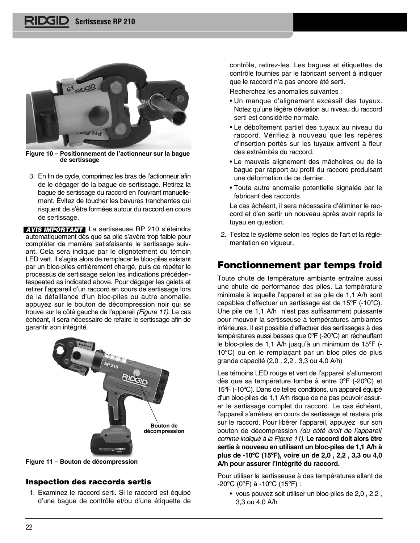

**Figure 10 – Positionnement de l'actionneur sur la bague de sertissage**

3. En fin de cycle, comprimez les bras de l'actionneur afin de le dégager de la bague de sertissage. Retirez la bague de sertissage du raccord en l'ouvrant manuellement. Évitez de toucher les bavures tranchantes qui risquent de s'être formées autour du raccord en cours de sertissage.

**AVIS IMPORTANT** La sertisseuse RP 210 s'éteindra automatiquement dès que sa pile s'avère trop faible pour compléter de manière satisfaisante le sertissage suivant. Cela sera indiqué par le clignotement du témoin LED vert. Il s'agira alors de remplacer le bloc-piles existant par un bloc-piles entièrement chargé, puis de répéter le processus de sertissage selon les indications précédentespeated as indicated above. Pour dégager les galets et retirer l'appareil d'un raccord en cours de sertissage lors de la défaillance d'un bloc-piles ou autre anomalie, appuyez sur le bouton de décompression noir qui se trouve sur le côté gauche de l'appareil (Figure 11). Le cas échéant, il sera nécessaire de refaire le sertissage afin de garantir son intégrité.



**Figure 11 – Bouton de décompression**

## **Inspection des raccords sertis**

1. Examinez le raccord serti. Si le raccord est équipé d'une bague de contrôle et/ou d'une étiquette de

contrôle, retirez-les. Les bagues et étiquettes de contrôle fournies par le fabricant servent à indiquer que le raccord n'a pas encore été serti.

Recherchez les anomalies suivantes :

- Un manque d'alignement excessif des tuyaux. Notez qu'une légère déviation au niveau du raccord serti est considérée normale.
- Le déboîtement partiel des tuyaux au niveau du raccord. Vérifiez à nouveau que les repères d'insertion portés sur les tuyaux arrivent à fleur des extrémités du raccord.
- Le mauvais alignement des mâchoires ou de la bague par rapport au profil du raccord produisant une déformation de ce dernier.
- Toute autre anomalie potentielle signalée par le fabricant des raccords.

Le cas échéant, il sera nécessaire d'éliminer le raccord et d'en sertir un nouveau après avoir repris le tuyau en question.

2. Testez le système selon les règles de l'art et la réglementation en vigueur.

## **Fonctionnement par temps froid**

Toute chute de température ambiante entraîne aussi une chute de performance des piles. La température minimale à laquelle l'appareil et sa pile de 1,1 A/h sont capables d'effectuer un sertissage est de 15ºF (-10ºC). Une pile de 1,1 A/h n'est pas suffisamment puissante pour mouvoir la sertisseuse à températures ambiantes inférieures. Il est possible d'effectuer des sertissages à des températures aussi basses que 0ºF (-20ºC) en réchauffant le bloc-piles de 1,1 A/h jusqu'à un minimum de 15ºF (- 10ºC) ou en le remplaçant par un bloc piles de plus grande capacité (2,0 , 2,2 , 3,3 ou 4,0 A/h)

Les témoins LED rouge et vert de l'appareil s'allumeront dès que sa température tombe à entre 0ºF (-20ºC) et 15ºF (-10ºC). Dans de telles conditions, un appareil équipé d'un bloc-piles de 1,1 A/h risque de ne pas pouvoir assurer le sertissage complet du raccord. Le cas échéant, l'appareil s'arrêtera en cours de sertissage et restera pris sur le raccord. Pour libérer l'appareil, appuyez sur son bouton de décompression (du côté droit de l'appareil comme indiqué à la Figure 11). **Le raccord doit alors être sertie à nouveau en utilisant un bloc-piles de 1,1 A/h à plus de -10ºC (15ºF), voire un de 2,0 , 2,2 , 3,3 ou 4,0 A/h pour assurer l'intégrité du raccord.**

Pour utiliser la sertisseuse à des températures allant de -20ºC (0ºF) à -10ºC (15ºF) :

• vous pouvez soit utiliser un bloc-piles de 2,0 , 2,2 , 3,3 ou 4,0 A/h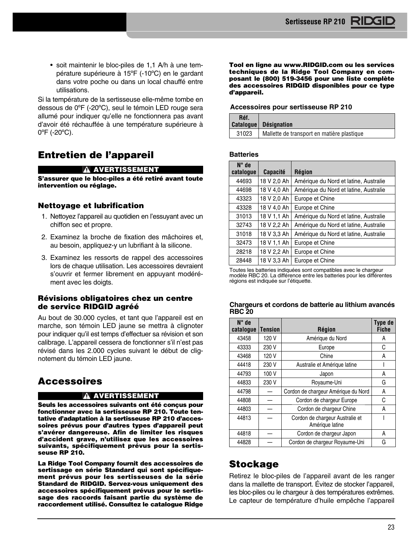• soit maintenir le bloc-piles de 1,1 A/h à une température supérieure à 15ºF (-10ºC) en le gardant dans votre poche ou dans un local chauffé entre utilisations.

Si la température de la sertisseuse elle-même tombe en dessous de 0ºF (-20ºC), seul le témoin LED rouge sera allumé pour indiquer qu'elle ne fonctionnera pas avant d'avoir été réchauffée à une température supérieure à 0ºF (-20ºC).

## **Entretien de l'appareil**

## **A AVERTISSEMENT**

**S'assurer que le bloc-piles a été retiré avant toute intervention ou réglage.**

## **Nettoyage et lubrification**

- 1. Nettoyez l'appareil au quotidien en l'essuyant avec un chiffon sec et propre.
- 2. Examinez la broche de fixation des mâchoires et, au besoin, appliquez-y un lubrifiant à la silicone.
- 3. Examinez les ressorts de rappel des accessoires lors de chaque utilisation. Les accessoires devraient s'ouvrir et fermer librement en appuyant modérément avec les doigts.

## **Révisions obligatoires chez un centre de service RIDGID agréé**

Au bout de 30.000 cycles, et tant que l'appareil est en marche, son témoin LED jaune se mettra à clignoter pour indiquer qu'il est temps d'effectuer sa révision et son calibrage. L'appareil cessera de fonctionner s'il n'est pas révisé dans les 2.000 cycles suivant le début de clignotement du témoin LED jaune.

## **Accessoires**

## **AVERTISSEMENT**

**Seuls les accessoires suivants ont été conçus pour fonctionner avec la sertisseuse RP 210. Toute ten**tative d'adaptation à la sertisseuse RP 210 d'acces**soires prévus pour d'autres types d'appareil peut s'avérer dangereuse. Afin de limiter les risques d'accident grave, n'utilisez que les accessoires suivants, spécifiquement prévus pour la sertisseuse RP 210.**

**La Ridge Tool Company fournit des accessoires de sertissage en série Standard qui sont spécifique ment prévus pour les sertisseuses de la série Standard de RIDGID. Servez-vous uniquement des accessoires spécifiquement prévus pour le sertissage des raccords faisant partie du système de raccordement utilisé. Consultez le catalogue Ridge** **Tool en ligne au www.RIDGID.com ou les services techniques de la Ridge Tool Company en composant le (800) 519-3456 pour une liste complète des accessoires RIDGID disponibles pour ce type d'appareil.**

#### **Accessoires pour sertisseuse RP 210**

| Réf.  | Catalogue Désignation                      |
|-------|--------------------------------------------|
| 31023 | Mallette de transport en matière plastique |

#### **Batteries**

| $N^{\circ}$ de |                 |                                       |
|----------------|-----------------|---------------------------------------|
| catalogue      | <b>Capacité</b> | <b>Région</b>                         |
| 44693          | 18 V 2,0 Ah     | Amérique du Nord et latine, Australie |
| 44698          | 18 V 4,0 Ah     | Amérique du Nord et latine, Australie |
| 43323          | 18 V 2.0 Ah     | Europe et Chine                       |
| 43328          | 18 V 4,0 Ah     | Europe et Chine                       |
| 31013          | 18 V 1.1 Ah     | Amérique du Nord et latine, Australie |
| 32743          | 18 V 2,2 Ah     | Amérique du Nord et latine, Australie |
| 31018          | 18 V 3,3 Ah     | Amérique du Nord et latine, Australie |
| 32473          | 18 V 1.1 Ah     | Europe et Chine                       |
| 28218          | 18 V 2.2 Ah     | Europe et Chine                       |
| 28448          | 18 V 3.3 Ah     | Europe et Chine                       |

Toutes les batteries indiquées sont compatibles avec le chargeur modèle RBC 20. La différence entre les batteries pour les différentes régions est indiquée sur l'étiquette.

#### **Chargeurs et cordons de batterie au lithium avancés RBC 20**

| $N^{\circ}$ de<br>catalogue | <b>Tension</b> | <b>Région</b>                                      | Type de<br><b>Fiche</b> |
|-----------------------------|----------------|----------------------------------------------------|-------------------------|
| 43458                       | 120 V          | Amérique du Nord                                   | Α                       |
| 43333                       | 230 V          | Europe                                             | С                       |
| 43468                       | 120 V          | Chine                                              | Α                       |
| 44418                       | 230 V          | Australie et Amérique latine                       |                         |
| 44793                       | 100 V          | Japon                                              | Α                       |
| 44833                       | 230 V          | Royaume-Uni                                        | G                       |
| 44798                       |                | Cordon de chargeur Amérique du Nord                | Α                       |
| 44808                       |                | Cordon de chargeur Europe                          | C                       |
| 44803                       |                | Cordon de chargeur Chine                           | A                       |
| 44813                       |                | Cordon de chargeur Australie et<br>Amérique latine |                         |
| 44818                       |                | Cordon de chargeur Japon                           | Α                       |
| 44828                       |                | Cordon de chargeur Royaume-Uni                     | G                       |

## **Stockage**

Retirez le bloc-piles de l'appareil avant de les ranger dans la mallette de transport. Évitez de stocker l'appareil, les bloc-piles ou le chargeur à des températures extrêmes. Le capteur de température d'huile empêche l'appareil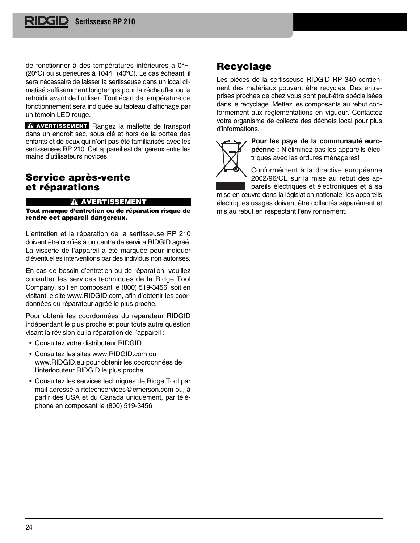de fonctionner à des températures inférieures à 0ºF- (20ºC) ou supérieures à 104ºF (40ºC). Le cas échéant, il sera nécessaire de laisser la sertisseuse dans un local climatisé suffisamment longtemps pour la réchauffer ou la refroidir avant de l'utiliser. Tout écart de température de fonctionnement sera indiquée au tableau d'affichage par un témoin LED rouge.

**AVERTISSEMENT** Rangez la mallette de transport dans un endroit sec, sous clé et hors de la portée des enfants et de ceux qui n'ont pas été familiarisés avec les sertisseuses RP 210. Cet appareil est dangereux entre les mains d'utilisateurs novices.

## **Service après-vente et réparations**

#### **A AVERTISSEMENT**

**Tout manque d'entretien ou de réparation risque de rendre cet appareil dangereux.**

L'entretien et la réparation de la sertisseuse RP 210 doivent être confiés à un centre de service RIDGID agréé. La visserie de l'appareil a été marquée pour indiquer d'éventuelles interventions par des individus non autorisés.

En cas de besoin d'entretien ou de réparation, veuillez con sulter les services techniques de la Ridge Tool Company, soit en composant le (800) 519-3456, soit en visitant le site www.RIDGID.com, afin d'obtenir les coordonnées du réparateur agréé le plus proche.

Pour obtenir les coordonnées du réparateur RIDGID indépendant le plus proche et pour toute autre question visant la révision ou la réparation de l'appareil :

- Consultez votre distributeur RIDGID.
- Consultez les sites www.RIDGID.com ou www.RIDGID.eu pour obtenir les coordonnées de l'interlocuteur RIDGID le plus proche.
- Consultez les services techniques de Ridge Tool par mail adressé à rtctechservices@emerson.com ou, à partir des USA et du Canada uniquement, par téléphone en composant le (800) 519-3456

## **Recyclage**

Les pièces de la sertisseuse RIDGID RP 340 contiennent des matériaux pouvant être recyclés. Des entreprises proches de chez vous sont peut-être spécialisées dans le recyclage. Mettez les composants au rebut conformément aux réglementations en vigueur. Contactez votre organisme de collecte des déchets local pour plus d'informations.



Pour les pays de la communauté euro**péenne :** N'éliminez pas les appareils électriques avec les ordures ménagères!

Conformément à la directive européenne 2002/96/CE sur la mise au rebut des appareils électriques et électroniques et à sa

mise en œuvre dans la législation nationale, les appareils électriques usagés doivent être collectés séparément et mis au rebut en respectant l'environnement.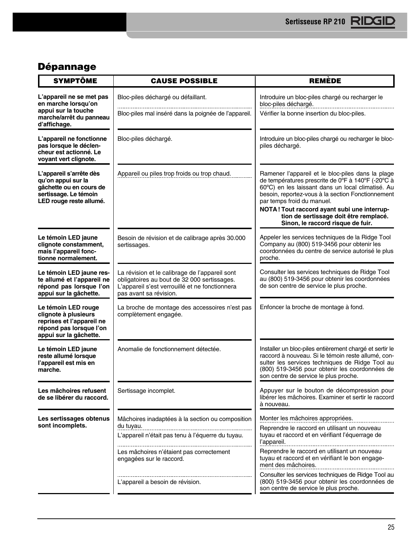## **Dépannage**

| <b>SYMPTÔME</b>                                                                                                               | <b>CAUSE POSSIBLE</b>                                                                                                                                                     | <b>REMÈDE</b>                                                                                                                                                                                                                                                                                                                                                                |  |
|-------------------------------------------------------------------------------------------------------------------------------|---------------------------------------------------------------------------------------------------------------------------------------------------------------------------|------------------------------------------------------------------------------------------------------------------------------------------------------------------------------------------------------------------------------------------------------------------------------------------------------------------------------------------------------------------------------|--|
| L'appareil ne se met pas<br>en marche lorsqu'on                                                                               | Bloc-piles déchargé ou défaillant.                                                                                                                                        | Introduire un bloc-piles chargé ou recharger le<br>bloc-piles déchargé.                                                                                                                                                                                                                                                                                                      |  |
| appui sur la touche<br>marche/arrêt du panneau<br>d'affichage.                                                                | Bloc-piles mal inséré dans la poignée de l'appareil.                                                                                                                      | Vérifier la bonne insertion du bloc-piles.                                                                                                                                                                                                                                                                                                                                   |  |
| L'appareil ne fonctionne<br>pas lorsque le déclen-<br>cheur est actionné. Le<br>voyant vert clignote.                         | Bloc-piles déchargé.                                                                                                                                                      | Introduire un bloc-piles chargé ou recharger le bloc-<br>piles déchargé.                                                                                                                                                                                                                                                                                                     |  |
| L'appareil s'arrête dès<br>qu'on appui sur la<br>gâchette ou en cours de<br>sertissage. Le témoin<br>LED rouge reste allumé.  | Appareil ou piles trop froids ou trop chaud.                                                                                                                              | Ramener l'appareil et le bloc-piles dans la plage<br>de températures prescrite de 0°F à 140°F (-20°C à<br>60°C) en les laissant dans un local climatisé. Au<br>besoin, reportez-vous à la section Fonctionnement<br>par temps froid du manuel.<br>NOTA! Tout raccord ayant subi une interrup-<br>tion de sertissage doit être remplacé.<br>Sinon, le raccord risque de fuir. |  |
| Le témoin LED jaune<br>clignote constamment,<br>mais l'appareil fonc-<br>tionne normalement.                                  | Besoin de révision et de calibrage après 30.000<br>sertissages.                                                                                                           | Appeler les services techniques de la Ridge Tool<br>Company au (800) 519-3456 pour obtenir les<br>coordonnées du centre de service autorisé le plus<br>proche.                                                                                                                                                                                                               |  |
| Le témoin LED jaune res-<br>te allumé et l'appareil ne<br>répond pas lorsque l'on<br>appui sur la gâchette.                   | La révision et le calibrage de l'appareil sont<br>obligatoires au bout de 32 000 sertissages.<br>L'appareil s'est verrouillé et ne fonctionnera<br>pas avant sa révision. | Consulter les services techniques de Ridge Tool<br>au (800) 519-3456 pour obtenir les coordonnées<br>de son centre de service le plus proche.                                                                                                                                                                                                                                |  |
| Le témoin LED rouge<br>clignote à plusieurs<br>reprises et l'appareil ne<br>répond pas lorsque l'on<br>appui sur la gâchette. | La broche de montage des accessoires n'est pas<br>complètement engagée.                                                                                                   | Enfoncer la broche de montage à fond.                                                                                                                                                                                                                                                                                                                                        |  |
| Le témoin LED jaune<br>reste allumé lorsque<br>l'appareil est mis en<br>marche.                                               | Anomalie de fonctionnement détectée.                                                                                                                                      | Installer un bloc-piles entièrement chargé et sertir le<br>raccord à nouveau. Si le témoin reste allumé, con-<br>sulter les services techniques de Ridge Tool au<br>(800) 519-3456 pour obtenir les coordonnées de<br>son centre de service le plus proche.                                                                                                                  |  |
| Les mâchoires refusent<br>de se libérer du raccord.                                                                           | Sertissage incomplet.                                                                                                                                                     | Appuyer sur le bouton de décompression pour<br>libérer les mâchoires. Examiner et sertir le raccord<br>à nouveau.                                                                                                                                                                                                                                                            |  |
| Les sertissages obtenus                                                                                                       | Mâchoires inadaptées à la section ou composition                                                                                                                          | Monter les mâchoires appropriées.                                                                                                                                                                                                                                                                                                                                            |  |
| sont incomplets.                                                                                                              | du tuyau.<br>----------------------------------<br>L'appareil n'était pas tenu à l'équerre du tuyau.                                                                      | Reprendre le raccord en utilisant un nouveau<br>tuyau et raccord et en vérifiant l'équerrage de<br>l'appareil.                                                                                                                                                                                                                                                               |  |
|                                                                                                                               | Les mâchoires n'étaient pas correctement<br>engagées sur le raccord.                                                                                                      | Reprendre le raccord en utilisant un nouveau<br>tuyau et raccord et en vérifiant le bon engage-<br>ment des mâchoires.                                                                                                                                                                                                                                                       |  |
|                                                                                                                               | L'appareil a besoin de révision.                                                                                                                                          | Consulter les services techniques de Ridge Tool au<br>(800) 519-3456 pour obtenir les coordonnées de<br>son centre de service le plus proche.                                                                                                                                                                                                                                |  |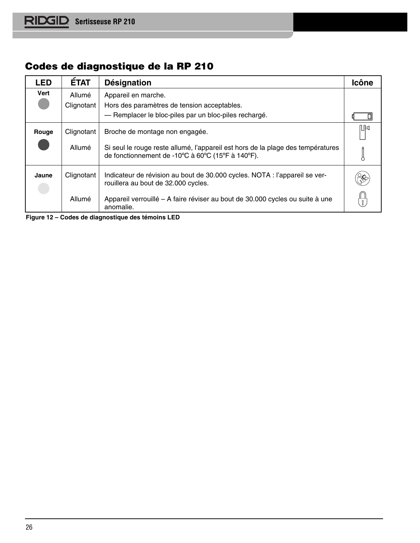## **Codes de diagnostique de la RP 210**

| LED   | <b>ETAT</b>          | Désignation                                                                                                                          | Icône |
|-------|----------------------|--------------------------------------------------------------------------------------------------------------------------------------|-------|
| Vert  | Allumé<br>Clignotant | Appareil en marche.<br>Hors des paramètres de tension acceptables.                                                                   |       |
|       |                      | - Remplacer le bloc-piles par un bloc-piles rechargé.                                                                                |       |
| Rouge | Clignotant           | Broche de montage non engagée.                                                                                                       | ⋔⊯    |
|       | Allumé               | Si seul le rouge reste allumé, l'appareil est hors de la plage des températures<br>de fonctionnement de -10°C à 60°C (15°F à 140°F). |       |
| Jaune | Clignotant           | Indicateur de révision au bout de 30.000 cycles. NOTA : l'appareil se ver-<br>rouillera au bout de 32.000 cycles.                    |       |
|       | Allumé               | Appareil verrouillé – A faire réviser au bout de 30.000 cycles ou suite à une<br>anomalie.                                           |       |

**Figure 12 – Codes de diagnostique des témoins LED**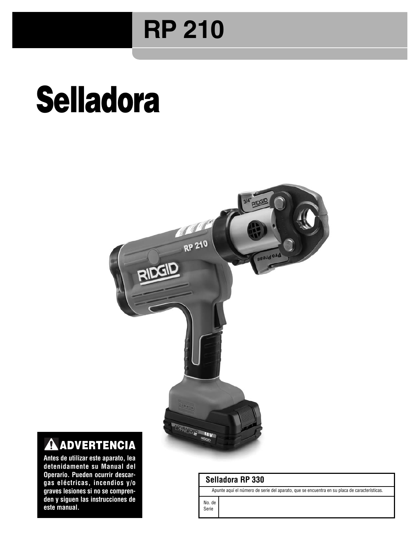## **RP 210**

# **Selladora**



## **ADVERTENCIA**

**Antes de utilizar este aparato, lea detenidamente su Manual del Operario. Pueden ocurrir descargas eléctricas, incendios y/o graves lesiones si no se compren**den y siguen las instrucciones de **este manual.**

## **Selladora RP 330**

Apunte aquí el número de serie del aparato, que se encuentra en su placa de características.

No. de Serie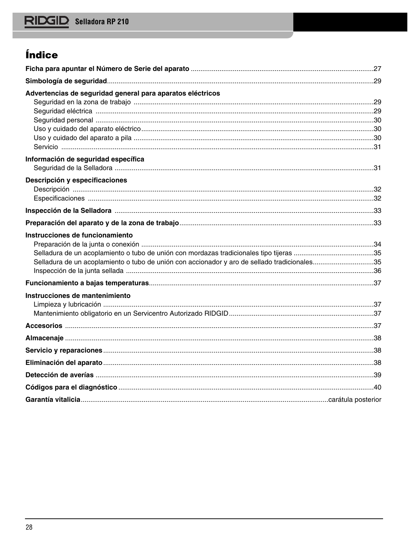## Índice

| Advertencias de seguridad general para aparatos eléctricos                                   |  |
|----------------------------------------------------------------------------------------------|--|
|                                                                                              |  |
|                                                                                              |  |
|                                                                                              |  |
|                                                                                              |  |
|                                                                                              |  |
| Información de seguridad específica                                                          |  |
| Descripción y especificaciones                                                               |  |
|                                                                                              |  |
|                                                                                              |  |
|                                                                                              |  |
|                                                                                              |  |
| Instrucciones de funcionamiento                                                              |  |
|                                                                                              |  |
|                                                                                              |  |
| Selladura de un acoplamiento o tubo de unión con accionador y aro de sellado tradicionales35 |  |
|                                                                                              |  |
|                                                                                              |  |
| Instrucciones de mantenimiento                                                               |  |
|                                                                                              |  |
|                                                                                              |  |
|                                                                                              |  |
|                                                                                              |  |
|                                                                                              |  |
|                                                                                              |  |
|                                                                                              |  |
|                                                                                              |  |
|                                                                                              |  |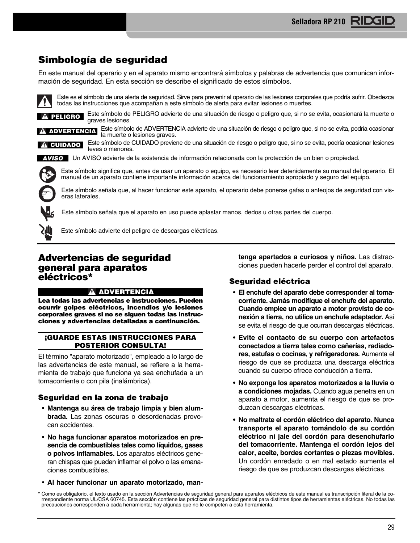## **Simbología de seguridad**

En este manual del operario y en el aparato mismo encontrará símbolos y palabras de advertencia que comunican información de seguridad. En esta sección se describe el significado de estos símbolos.

Este es el símbolo de una alerta de seguridad. Sirve para prevenir al operario de las lesiones corporales que podría sufrir. Obedezca todas las instrucciones que acompañan a este símbolo de alerta para evitar lesiones o muertes.

**PELIGRO** Este símbolo de PELIGRO advierte de una situación de riesgo o peligro que, si no se evita, ocasionará la muerte o graves lesiones.

Este símbolo de ADVERTENCIA advierte de una situación de riesgo o peligro que, si no se evita, podría ocasionar

**ADVERTENCIA** Este simbolo de ADVERTENCIA<br>la muerte o lesiones graves.

**A** CUIDADO

Este símbolo de CUIDADO previene de una situación de riesgo o peligro que, si no se evita, podría ocasionar lesiones leves o menores.

Un AVISO advierte de la existencia de información relacionada con la protección de un bien o propiedad. **AVISO**

Este símbolo señala que el aparato en uso puede aplastar manos, dedos u otras partes del cuerpo.



Este símbolo significa que, antes de usar un aparato o equipo, es necesario leer detenidamente su manual del operario. El manual de un aparato contiene importante información acerca del funcionamiento apropiado y seguro del equipo.



Este símbolo señala que, al hacer funcionar este aparato, el operario debe ponerse gafas o anteojos de seguridad con viseras laterales.



Este símbolo advierte del peligro de descargas eléctricas.

## **Advertencias de seguridad gene ral para aparatos eléctricos\***

## **ADVERTENCIA**

Lea todas las advertencias e instrucciones. Pueden **ocurrir golpes eléctricos, incendios y/o lesiones corporales graves si no se siguen todas las instrucciones y advertencias detalladas a continuación.**

## **¡GUARDE ESTAS INSTRUCCIONES PARA POSTERIOR CONSULTA!**

El término "aparato motorizado", empleado a lo largo de las advertencias de este manual, se refiere a la herramienta de trabajo que funciona ya sea enchufada a un tomacorriente o con pila (inalámbrica).

## **Seguridad en la zona de trabajo**

- **Mantenga su área de trabajo limpia y bien alumbrada.** Las zonas oscuras o desordenadas provocan accidentes.
- **No haga funcionar aparatos motorizados en pre sencia de combustibles tales como líquidos, gases o polvos inflamables.** Los aparatos eléctricos gene ran chispas que pueden inflamar el polvo o las emanaciones combustibles.
- **Al hacer funcionar un aparato motorizado, man-**

**tenga apartados a curiosos y niños.** Las distracciones pueden hacerle perder el control del aparato.

## **Seguridad eléctrica**

- **El enchufe del aparato debe corresponder al tomacorriente. Jamás modifique el enchufe del aparato.** Cuando emplee un aparato a motor provisto de co**nexión a tierra, no utilice un enchufe adaptador.** Así se evita el riesgo de que ocurran descargas eléctricas.
- **Evite el contacto de su cuerpo con artefactos conectados a tierra tales como cañerías, radiado res, estufas o cocinas, y refrigeradores.** Aumenta el riesgo de que se produzca una descarga eléctrica cuando su cuerpo ofrece conducción a tierra.
- **No exponga los aparatos motorizados a la lluvia o a condiciones mojadas.** Cuando agua penetra en un aparato a motor, aumenta el riesgo de que se produzcan descargas eléctricas.
- **No maltrate el cordón eléctrico del aparato. Nunca transporte el aparato tomándolo de su cordón eléctrico ni jale del cordón para desenchufarlo del tomacorriente. Mantenga el cordón lejos del calor, aceite, bordes cortantes o piezas movibles.** Un cordón enredado o en mal estado aumenta el riesgo de que se produzcan descargas eléctricas.

<sup>\*</sup> Como es obligatorio, el texto usado en la sección Advertencias de seguridad general para aparatos eléctricos de este manual es transcripción literal de la co rrespondiente norma UL/CSA 60745. Esta sección contiene las prácticas de seguridad general para distintos tipos de herramientas eléctricas. No todas las precauciones corresponden a cada herramienta; hay algunas que no le competen a esta herramienta.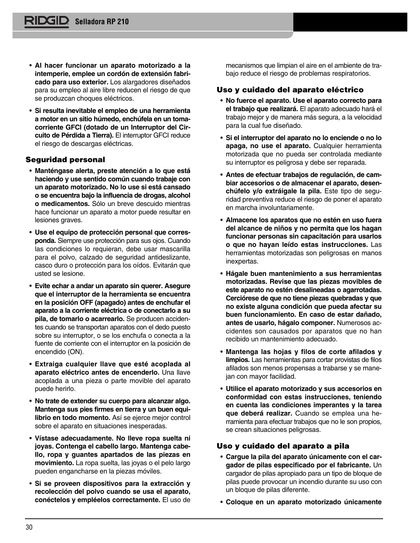- **Al hacer funcionar un aparato motorizado a la intemperie, emplee un cordón de extensión fabricado para uso exterior.** Los alargadores diseñados para su empleo al aire libre reducen el riesgo de que se produzcan choques eléctricos.
- **Si resulta inevitable el empleo de una herramienta a motor en un sitio húmedo, enchúfela en un toma corriente GFCI (dotado de un Interruptor del Cir cuito de Pérdida a Tierra).** El interruptor GFCI reduce el riesgo de descargas eléctricas.

## **Seguridad personal**

- **Manténgase alerta, preste atención a lo que está haciendo y use sentido común cuando trabaje con un aparato motorizado. No lo use si está cansado o se encuentra bajo la influencia de drogas, alcohol o medicamentos.** Sólo un breve descuido mientras hace funcionar un aparato a motor puede resultar en lesiones graves.
- **Use el equipo de protección personal que corres ponda.** Siempre use protección para sus ojos. Cuando las condiciones lo requieran, debe usar mascarilla para el polvo, calzado de seguridad antideslizante, casco duro o protección para los oídos. Evitarán que usted se lesione.
- **Evite echar a andar un aparato sin querer. Asegure que el interruptor de la herramienta se encuentra en la posición OFF (apagado) antes de enchufar el aparato a la corriente eléctrica o de conectarlo a su** pila, de tomarlo o acarrearlo. Se producen accidentes cuando se transportan aparatos con el dedo puesto sobre su interruptor, o se los enchufa o conecta a la fuente de corriente con el interruptor en la posición de encendido (ON).
- **Extraiga cualquier llave que esté acoplada al aparato eléctrico antes de encenderlo.** Una llave acoplada a una pieza o parte movible del aparato puede herirlo.
- **No trate de extender su cuerpo para alcanzar algo.** Mantenga sus pies firmes en tierra y un buen equi**librio en todo momento.** Así se ejerce mejor control sobre el aparato en situaciones inesperadas.
- **Vístase adecuadamente. No lleve ropa suelta ni joyas. Contenga el cabello largo. Mantenga cabe llo, ropa y guantes apartados de las piezas en movimiento.** La ropa suelta, las joyas o el pelo largo pueden engancharse en la piezas móviles.
- **Si se proveen dispositivos para la extracción y recolección del polvo cuando se usa el aparato, conéctelos y empléelos correctamente.** El uso de

mecanismos que limpian el aire en el ambiente de trabajo reduce el riesgo de problemas respiratorios.

## **Uso y cuidado del aparato eléctrico**

- **No fuerce el aparato. Use el aparato correcto para el trabajo que realizará.** El aparato adecuado hará el trabajo mejor y de manera más segura, a la velocidad para la cual fue diseñado.
- **Si el interruptor del aparato no lo enciende o no lo apaga, no use el aparato.** Cualquier herramienta motorizada que no pueda ser controlada mediante su interruptor es peligrosa y debe ser reparada.
- **Antes de efectuar trabajos de regulación, de cambiar accesorios o de almacenar el aparato, desen**  chúfelo y/o extráigale la pila. Este tipo de seguridad preventiva reduce el riesgo de poner el aparato en marcha involuntariamente.
- **Almacene los aparatos que no estén en uso fuera del alcance de niños y no permita que los hagan funcionar personas sin capacitación para usarlos o que no hayan leído estas instrucciones.** Las herramientas motorizadas son peligrosas en manos inexpertas.
- **Hágale buen mantenimiento a sus herramientas motorizadas. Revise que las piezas movibles de este aparato no estén desalineadas o agarrotadas. Cerciórese de que no tiene piezas quebradas y que no existe alguna condición que pueda afectar su buen funcionamiento. En caso de estar dañado, antes de usarlo, hágalo componer.** Numerosos ac cidentes son causados por aparatos que no han recibido un mantenimiento adecuado.
- **Mantenga las hojas y filos de corte afilados y limpios.** Las herramientas para cortar provistas de filos afilados son menos propensas a trabarse y se manejan con mayor facilidad.
- **Utilice el aparato motorizado y sus accesorios en conformidad con estas instrucciones, teniendo en cuenta las condiciones imperantes y la tarea** que deberá realizar. Cuando se emplea una herramienta para efectuar trabajos que no le son propios, se crean situaciones peligrosas.

### **Uso y cuidado del aparato a pila**

- **Cargue la pila del aparato únicamente con el cargador de pilas especificado por el fabricante.** Un cargador de pilas apropiado para un tipo de bloque de pilas puede provocar un incendio durante su uso con un bloque de pilas diferente.
- **Coloque en un aparato motorizado únicamente**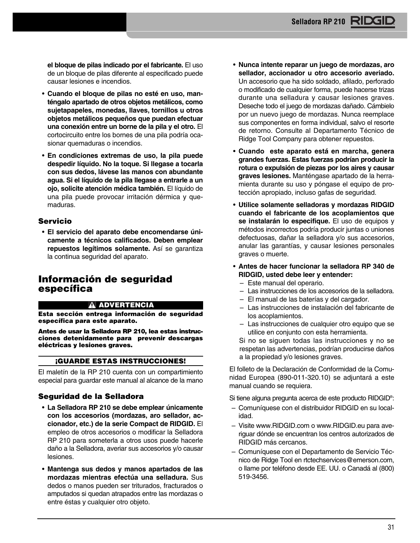**el bloque de pilas indicado por el fabricante.** El uso de un bloque de pilas diferente al especificado puede causar lesiones e incendios.

- **Cuando el bloque de pilas no esté en uso, manténgalo apartado de otros objetos metálicos, como sujetapapeles, monedas, llaves, tornillos u otros objetos metálicos pequeños que puedan efectuar una conexión entre un borne de la pila y el otro.** El cortocircuito entre los bornes de una pila podría ocasionar quemaduras o incendios.
- **En condiciones extremas de uso, la pila puede despedir líquido. No la toque. Si llegase a tocarla con sus dedos, lávese las manos con abundante agua. Si el líquido de la pila llegase a entrarle a un ojo, solicite atención médica también.** El líquido de una pila puede provocar irritación dérmica y quemaduras.

## **Servicio**

• **El servicio del aparato debe encomendarse únicamente a técnicos calificados. Deben emplear repuestos legítimos solamente.** Así se garantiza la continua seguridad del aparato.

## **Información de seguridad específica**

### **ADVERTENCIA**

**Esta sección entrega información de seguridad específica para este aparato.**

**Antes de usar la Selladora RP 210, lea estas instrucciones detenidamente para prevenir descargas eléctricas y lesiones graves.**

#### **¡GUARDE ESTAS INSTRUCCIONES!**

El maletín de la RP 210 cuenta con un compartimiento especial para guardar este manual al alcance de la mano

### **Seguridad de la Selladora**

- **La Selladora RP 210 se debe emplear únicamente** con los accesorios (mordazas, aro sellador, ac**cionador, etc.) de la serie Compact de RIDGID.** El empleo de otros accesorios o modificar la Selladora RP 210 para someterla a otros usos puede hacerle daño a la Selladora, averiar sus accesorios y/o causar lesiones.
- **Mantenga sus dedos y manos apartados de las mordazas mientras efectúa una selladura.** Sus dedos o manos pueden ser triturados, fracturados o amputados si quedan atrapados entre las mordazas o entre éstas y cualquier otro objeto.
- **Nunca intente reparar un juego de mordazas, aro sellador, accionador u otro accesorio averiado.** Un accesorio que ha sido soldado, afilado, perforado o modificado de cualquier forma, puede hacerse trizas durante una selladura y causar lesiones graves. Deseche todo el juego de mordazas dañado. Cámbielo por un nuevo juego de mordazas. Nunca reemplace sus componentes en forma individual, salvo el resorte de retorno. Consulte al Departamento Técnico de Ridge Tool Company para obtener repuestos.
- **Cuando este aparato está en marcha, genera grandes fuerzas. Estas fuerzas podrían producir la rotura o expulsión de piezas por los aires y causar** graves lesiones. Manténgase apartado de la herramienta durante su uso y póngase el equipo de protección apropiado, incluso gafas de seguridad.
- **Utilice solamente selladoras y mordazas RIDGID cuando el fabricante de los acoplamientos que se instalarán lo especifique.** El uso de equipos y métodos incorrectos podría producir juntas o uniones defectuosas, dañar la selladora y/o sus accesorios, anular las garantías, y causar lesiones personales graves o muerte.
- **Antes de hacer funcionar la selladora RP 340 de RIDGID, usted debe leer y entender:** 
	- Este manual del operario.
	- Las instrucciones de los accesorios de la selladora.
	- El manual de las baterías y del cargador.
	- Las instrucciones de instalación del fabricante de los acoplamientos.
	- Las instrucciones de cualquier otro equipo que se utilice en conjunto con esta herramienta.

Si no se siguen todas las instrucciones y no se respetan las advertencias, podrían producirse daños a la propiedad y/o lesiones graves.

El folleto de la Declaración de Conformidad de la Comunidad Europea (890-011-320.10) se adjuntará a este manual cuando se requiera.

Si tiene alguna pregunta acerca de este producto RIDGID® :

- Comuníquese con el distribuidor RIDGID en su localidad.
- Visite www.RIDGID.com o www.RIDGID.eu para ave riguar dónde se encuentran los centros autorizados de RIDGID más cercanos.
- Comuníquese con el Departamento de Servicio Téc nico de Ridge Tool en rtctechservices@emerson.com, o llame por teléfono desde EE. UU. o Canadá al (800) 519-3456.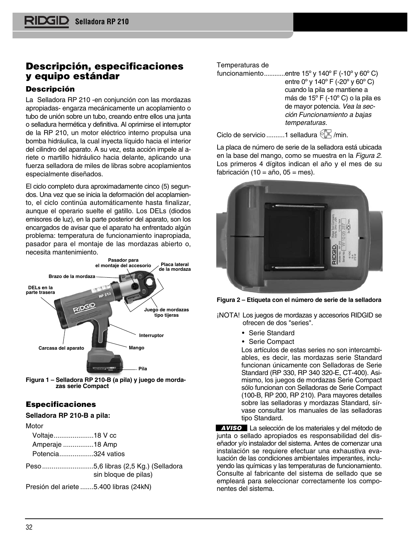## **Descripción, especificaciones y equipo estándar**

## **Descripción**

La Selladora RP 210 -en conjunción con las mordazas apropiadas- engarza mecánicamente un acoplamiento o tubo de unión sobre un tubo, creando entre ellos una junta o selladura hermética y definitiva. Al oprimirse el interruptor de la RP 210, un motor eléctrico interno propulsa una bom ba hidráulica, la cual inyecta líquido hacia el interior del cilindro del aparato. A su vez, esta acción impele al ariete o martillo hidráulico hacia delante, aplicando una fuerza selladora de miles de libras sobre acoplamientos especialmente diseñados.

El ciclo completo dura aproximadamente cinco (5) segundos. Una vez que se inicia la deformación del acoplamiento, el ciclo continúa automáticamente hasta finalizar, aunque el operario suelte el gatillo. Los DELs (diodos emisores de luz), en la parte posterior del aparato, son los encargados de avisar que el aparato ha enfrentado algún problema: temperatura de funcionamiento inapropiada, pasador para el montaje de las mordazas abierto o, necesita mantenimiento.



**Figura 1 – Selladora RP 210-B (a pila) y juego de morda zas serie Compact**

## **Especificaciones**

### **Selladora RP 210-B a pila:**

| Voltaje18 V cc |  |
|----------------|--|
|----------------|--|

Amperaje ................18 Amp

Potencia..................324 vatios

Peso...........................5,6 libras (2,5 Kg.) (Selladora sin bloque de pilas)

Presión del ariete .......5.400 libras (24kN)

## Temperaturas de

funcionamiento...........entre  $15^{\circ}$  y  $140^{\circ}$  F (-10° y 60° C) entre 0º y 140º F (-20º y 60º C) cuando la pila se mantiene a más de 15º F (-10º C) o la pila es de mayor potencia. Vea la sección Funcionamiento a bajas temperaturas.

Ciclo de servicio..........1 selladura  $\sqrt[\mathbb{G}]{\mathbb{Z}}$ /min.

La placa de número de serie de la selladora está ubicada en la base del mango, como se muestra en la Figura 2. Los primeros 4 dígitos indican el año y el mes de su fabricación (10 =  $a\tilde{n}$ o, 05 = mes).



**Figura 2 – Etiqueta con el número de serie de la selladora**

- ¡NOTA! Los juegos de mordazas y accesorios RIDGID se ofrecen de dos "series".
	- Serie Standard
	- Serie Compact

Los artículos de estas series no son intercambiables, es decir, las mordazas serie Standard funcionan únicamente con Selladoras de Serie Standard (RP 330, RP 340 320-E, CT-400). Asi mismo, los juegos de mordazas Serie Compact sólo funcionan con Selladoras de Serie Compact (100-B, RP 200, RP 210). Para mayores detalles sobre las selladoras y mordazas Standard, sírvase consultar los manuales de las selladoras tipo Standard.

La selección de los materiales y del método de **AVISO**junta o sellado apropiados es responsabilidad del diseñador y/o instalador del sistema. Antes de comenzar una instalación se requiere efectuar una exhaustiva evaluación de las condiciones ambientales imperantes, incluy endo las químicas y las temperaturas de funcionamiento. Consulte al fabricante del sistema de sellado que se empleará para seleccionar correctamente los componentes del sistema.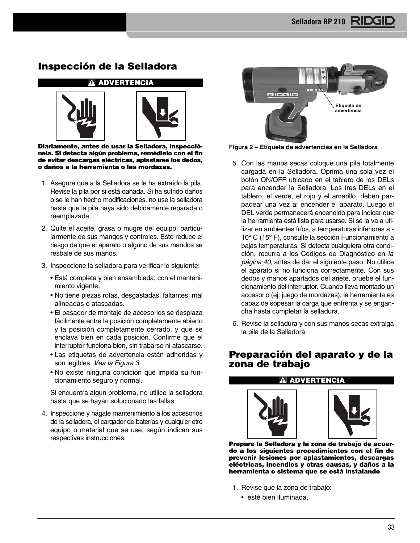## **Inspección de la Selladora**



**Diariamente, antes de usar la Selladora, inspecció nela. Si detecta algún problema, remédielo con el fin de evitar descargas eléctricas, aplastarse los dedos, o daños a la herramienta o las mordazas.**

- 1. Asegure que a la Selladora se le ha extraído la pila. Revise la pila por si está dañada. Si ha sufrido daños o se le han hecho modificaciones, no use la selladora hasta que la pila haya sido debidamente reparada o reemplazada.
- 2. Quite el aceite, grasa o mugre del equipo, particularmente de sus mangos y controles. Esto reduce el riesgo de que el aparato o alguno de sus mandos se resbale de sus manos.
- 3. Inspeccione la selladora para verificar lo siguiente:
	- Está completa y bien ensamblada, con el manteni miento vigente.
	- No tiene piezas rotas, desgastadas, faltantes, mal alineadas o atascadas.
	- El pasador de montaje de accesorios se desplaza fácilmente entre la posición completamente abierto y la posición completamente cerrado, y que se enclava bien en cada posición. Confirme que el interruptor funciona bien, sin trabarse ni atascarse.
	- Las etiquetas de advertencia están adheridas y son legibles. Vea la Figura 3.
	- No existe ninguna condición que impida su funcionamiento seguro y normal.

Si encuentra algún problema, no utilice la selladora hasta que se hayan solucionado las fallas.

4. Inspeccione y hágale mantenimiento a los accesorios de la selladora, el cargador de baterías y cualquier otro equipo o material que se use, según indican sus respectivas instrucciones.



**Figura 2 – Etiqueta de advertencias en la Selladora**

- 5. Con las manos secas coloque una pila totalmente cargada en la Selladora. Oprima una sola vez el botón ON/OFF ubicado en el tablero de los DELs para encender la Selladora. Los tres DELs en el tablero, el verde, el rojo y el amarillo, deben parpadear una vez al encender el aparato. Luego el DEL verde permanecerá encendido para indicar que la herramienta está lista para usarse. Si se la va a utilizar en ambientes fríos, a temperaturas inferiores a - 10º C (15º F), consulte la sección Funcionamiento a bajas temperaturas. Si detecta cualquiera otra condición, recurra a los Códigos de Diagnóstico en la página 40, antes de dar el siguiente paso. No utilice el aparato si no funciona correctamente. Con sus dedos y manos apartados del ariete, pruebe el funcionamiento del interruptor. Cuando lleva montado un accesorio (ej: juego de mordazas), la herramienta es capaz de sopesar la carga que enfrenta y se engancha hasta completar la selladura.
- 6. Revise la selladura y con sus manos secas extraiga la pila de la Selladora.

## **Preparación del aparato y de la zona de trabajo**

## **ADVERTENCIA**





**Prepare la Selladora y la zona de trabajo de acuerdo a los siguientes procedimientos con el fin de prevenir lesiones por aplastamientos, descargas eléctricas, incendios y otras causas, y daños a la herramienta o sistema que se está instalando**

- 1. Revise que la zona de trabajo:
	- esté bien iluminada,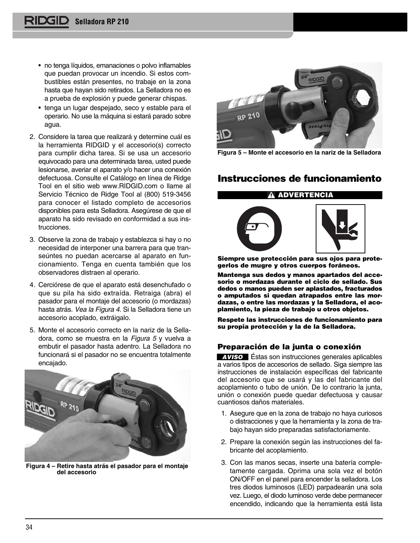- no tenga líquidos, emanaciones o polvo inflamables que puedan provocar un incendio. Si estos combustibles están presentes, no trabaje en la zona hasta que hayan sido retirados. La Selladora no es a prueba de explosión y puede generar chispas.
- tenga un lugar despejado, seco y estable para el operario. No use la máquina si estará parado sobre agua.
- 2. Considere la tarea que realizará y determine cuál es la herramienta RIDGID y el accesorio(s) correcto para cumplir dicha tarea. Si se usa un accesorio equivocado para una determinada tarea, usted puede lesionarse, averiar el aparato y/o hacer una conexión defectuosa. Consulte el Catálogo en línea de Ridge Tool en el sitio web www.RIDGID.com o llame al Servicio Técnico de Ridge Tool al (800) 519-3456 para conocer el listado completo de accesorios disponibles para esta Selladora. Asegúrese de que el aparato ha sido revisado en conformidad a sus instrucciones.
- 3. Observe la zona de trabajo y establezca si hay o no necesidad de interponer una barrera para que transeúntes no puedan acercarse al aparato en funcionamiento. Tenga en cuenta también que los observadores distraen al operario.
- 4. Cerciórese de que el aparato está desenchufado o que su pila ha sido extraída. Retraiga (abra) el pasador para el montaje del accesorio (o mordazas) hasta atrás. Vea la Figura 4. Si la Selladora tiene un accesorio acoplado, extráigalo.
- 5. Monte el accesorio correcto en la nariz de la Sella dora, como se muestra en la Figura 5 y vuelva a embutir el pasador hasta adentro. La Selladora no funcionará si el pasador no se encuentra totalmente encajado.



**Figura 4 – Retire hasta atrás el pasador para el montaje del accesorio** 



**Figura 5 – Monte el accesorio en la nariz de la Selladora**

## **Instrucciones de funcionamiento**

## **ADVERTENCIA**



**Siempre use protección para sus ojos para protegerlos de mugre y otros cuerpos foráneos.**

**Mantenga sus dedos y manos apartados del accesorio o mordazas durante el ciclo de sellado. Sus dedos o manos pueden ser aplastados, fracturados o amputados si quedan atrapados entre las mordazas, o entre las mordazas y la Selladora, el aco plamiento, la pieza de trabajo u otros objetos.**

**Respete las instrucciones de funcionamiento para su propia protección y la de la Selladora.**

## **Preparación de la junta o conexión**

**AVISO** Estas son instrucciones generales aplicables a varios tipos de accesorios de sellado. Siga siempre las instrucciones de instalación específicas del fabricante del accesorio que se usará y las del fabricante del acoplamiento o tubo de unión. De lo contrario la junta, unión o conexión puede quedar defectuosa y causar cuantiosos daños materiales.

- 1. Asegure que en la zona de trabajo no haya curiosos o distracciones y que la herramienta y la zona de trabajo hayan sido preparadas satisfactoriamente.
- 2. Prepare la conexión según las instrucciones del fabricante del acoplamiento.
- 3. Con las manos secas, inserte una batería completamente cargada. Oprima una sola vez el botón ON/OFF en el panel para encender la selladora. Los tres diodos luminosos (LED) parpadearán una sola vez. Luego, el diodo luminoso verde debe permanecer encendido, indicando que la herramienta está lista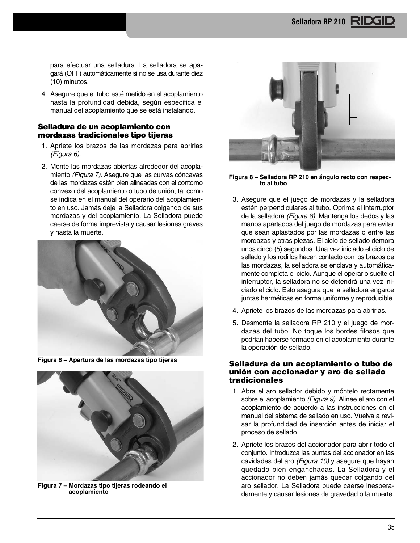para efectuar una selladura. La selladora se apagará (OFF) automáticamente si no se usa durante diez (10) minutos.

4. Asegure que el tubo esté metido en el acoplamiento hasta la profundidad debida, según especifica el manual del acoplamiento que se está instalando.

### **Selladura de un acoplamiento con mordazas tradicionales tipo tijeras**

- 1. Apriete los brazos de las mordazas para abrirlas (Figura 6).
- 2. Monte las mordazas abiertas alrededor del acoplamiento (Figura 7). Asegure que las curvas cóncavas de las mordazas estén bien alineadas con el contorno convexo del acoplamiento o tubo de unión, tal como se indica en el manual del operario del acoplamiento en uso. Jamás deje la Selladora colgando de sus mordazas y del acoplamiento. La Selladora puede caerse de forma imprevista y causar lesiones graves y hasta la muerte.



**Figura 6 – Apertura de las mordazas tipo tijeras**



**Figura 7 – Mordazas tipo tijeras rodeando el acoplamiento**



**Figura 8 – Selladora RP 210 en ángulo recto con respecto al tubo** 

- 3. Asegure que el juego de mordazas y la selladora estén perpendiculares al tubo. Oprima el interruptor de la selladora (Figura 8). Mantenga los dedos y las manos apartados del juego de mordazas para evitar que sean aplastados por las mordazas o entre las mordazas y otras piezas. El ciclo de sellado demora unos cinco (5) segundos. Una vez iniciado el ciclo de sellado y los rodillos hacen contacto con los brazos de las mordazas, la selladora se enclava y automáticamente completa el ciclo. Aunque el operario suelte el interruptor, la selladora no se detendrá una vez iniciado el ciclo. Esto asegura que la selladora engarce juntas herméticas en forma uniforme y reproducible.
- 4. Apriete los brazos de las mordazas para abrirlas.
- 5. Desmonte la selladora RP 210 y el juego de mordazas del tubo. No toque los bordes filosos que podrían haberse formado en el acoplamiento durante la operación de sellado.

## **Selladura de un acoplamiento o tubo de unión con accionador y aro de sellado tradicionales**

- 1. Abra el aro sellador debido y móntelo rectamente sobre el acoplamiento (Figura 9). Alinee el aro con el acoplamiento de acuerdo a las instrucciones en el manual del sistema de sellado en uso. Vuelva a revisar la profundidad de inserción antes de iniciar el proceso de sellado.
- 2. Apriete los brazos del accionador para abrir todo el conjunto. Introduzca las puntas del accionador en las cavidades del aro (Figura 10) y asegure que hayan quedado bien enganchadas. La Selladora y el accionador no deben jamás quedar colgando del aro sellador. La Selladora puede caerse inesperadamente y causar lesiones de gravedad o la muerte.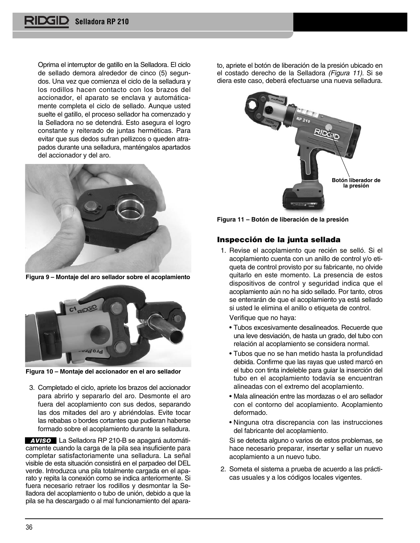Oprima el interruptor de gatillo en la Selladora. El ciclo de sellado demora alrededor de cinco (5) segundos. Una vez que comienza el ciclo de la selladura y los rodillos hacen contacto con los brazos del accionador, el aparato se enclava y automáticamente completa el ciclo de sellado. Aunque usted suelte el gatillo, el proceso sellador ha comenzado y la Selladora no se detendrá. Esto asegura el logro constante y reiterado de juntas herméticas. Para evitar que sus dedos sufran pellizcos o queden atrapados durante una selladura, manténgalos apartados del accionador y del aro.



**Figura 9 – Montaje del aro sellador sobre el acoplamiento**



**Figura 10 – Montaje del accionador en el aro sellador**

3. Completado el ciclo, apriete los brazos del accionador para abrirlo y separarlo del aro. Desmonte el aro fuera del acoplamiento con sus dedos, separando las dos mitades del aro y abriéndolas. Evite tocar las rebabas o bordes cortantes que pudieran haberse formado sobre el acoplamiento durante la selladura.

La Selladora RP 210-B se apagará automáti-**AVISO**camente cuando la carga de la pila sea insuficiente para completar satisfactoriamente una selladura. La señal visible de esta situación consistirá en el parpadeo del DEL verde. Introduzca una pila totalmente cargada en el aparato y repita la conexión como se indica anteriormente. Si fuera necesario retraer los rodillos y desmontar la Selladora del acoplamiento o tubo de unión, debido a que la pila se ha descargado o al mal funcionamiento del aparato, apriete el botón de liberación de la presión ubicado en el costado derecho de la Selladora (Figura 11). Si se diera este caso, deberá efectuarse una nueva selladura.



**Figura 11 – Botón de liberación de la presión**

## **Inspección de la junta sellada**

1. Revise el acoplamiento que recién se selló. Si el acoplamiento cuenta con un anillo de control y/o etiqueta de control provisto por su fabricante, no olvide quitarlo en este momento. La presencia de estos dispositivos de control y seguridad indica que el acoplamiento aún no ha sido sellado. Por tanto, otros se enterarán de que el acoplamiento ya está sellado si usted le elimina el anillo o etiqueta de control.

Verifique que no haya:

- Tubos excesivamente desalineados. Recuerde que una leve desviación, de hasta un grado, del tubo con relación al acoplamiento se considera normal.
- Tubos que no se han metido hasta la profundidad debida. Confirme que las rayas que usted marcó en el tubo con tinta indeleble para guiar la inserción del tubo en el acoplamiento todavía se encuentran alineadas con el extremo del acoplamiento.
- Mala alineación entre las mordazas o el aro sellador con el contorno del acoplamiento. Acoplamiento deformado.
- Ninguna otra discrepancia con las instrucciones del fabricante del acoplamiento.

Si se detecta alguno o varios de estos problemas, se hace necesario preparar, insertar y sellar un nuevo acoplamiento a un nuevo tubo.

2. Someta el sistema a prueba de acuerdo a las prácticas usuales y a los códigos locales vigentes.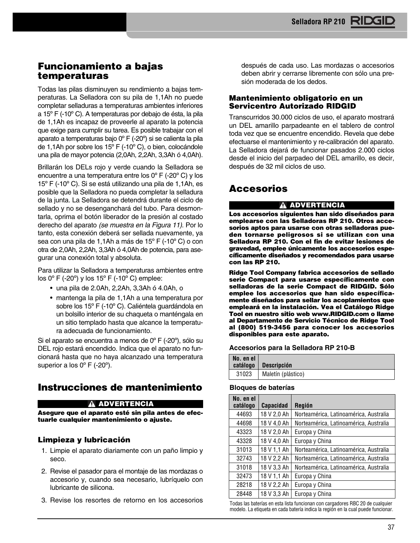## **Funcionamiento a bajas temperaturas**

Todas las pilas disminuyen su rendimiento a bajas temperaturas. La Selladora con su pila de 1,1Ah no puede completar selladuras a temperaturas ambientes inferiores a 15º F (-10º C). A temperaturas por debajo de ésta, la pila de 1,1Ah es incapaz de proveerle al aparato la potencia que exige para cumplir su tarea. Es posible trabajar con el aparato a temperaturas bajo 0º F (-20º) si se calienta la pila de 1,1Ah por sobre los 15º F (-10º C), o bien, colocándole una pila de mayor potencia (2,0Ah, 2,2Ah, 3,3Ah ó 4,0Ah).

Brillarán los DELs rojo y verde cuando la Selladora se encuentre a una temperatura entre los 0º F (-20º C) y los 15º F (-10º C). Si se está utilizando una pila de 1,1Ah, es posible que la Selladora no pueda completar la selladura de la junta. La Selladora se detendrá durante el ciclo de sellado y no se desenganchará del tubo. Para desmontarla, oprima el botón liberador de la presión al costado derecho del aparato (se muestra en la Figura 11). Por lo tanto, esta conexión deberá ser sellada nuevamente, ya sea con una pila de 1,1Ah a más de 15º F (-10º C) o con otra de 2,0Ah, 2,2Ah, 3,3Ah ó 4,0Ah de potencia, para asegurar una conexión total y absoluta.

Para utilizar la Selladora a temperaturas ambientes entre los 0º F (-20º) y los 15º F (-10º C) emplee:

- una pila de 2.0Ah, 2,2Ah, 3,3Ah ó 4.0Ah, o
- mantenga la pila de 1,1Ah a una temperatura por sobre los 15º F (-10º C). Caliéntela guardándola en un bolsillo interior de su chaqueta o manténgala en un sitio templado hasta que alcance la temperatura adecuada de funcionamiento.

Si el aparato se encuentra a menos de 0º F (-20º), sólo su DEL rojo estará encendido. Indica que el aparato no funcionará hasta que no haya alcanzado una temperatura superior a los 0° F (-20°).

## **Instrucciones de mantenimiento**

## **ADVERTENCIA**

**Asegure que el aparato esté sin pila antes de efectuarle cualquier mantenimiento o ajuste.**

## **Limpieza y lubricación**

- 1. Limpie el aparato diariamente con un paño limpio y seco.
- 2. Revise el pasador para el montaje de las mordazas o accesorio y, cuando sea necesario, lubríquelo con lubricante de silicona.
- 3. Revise los resortes de retorno en los accesorios

después de cada uso. Las mordazas o accesorios deben abrir y cerrarse libremente con sólo una presión moderada de los dedos.

## **Mantenimiento obligatorio en un Servicentro Autorizado RIDGID**

Transcurridos 30.000 ciclos de uso, el aparato mostrará un DEL amarillo parpadeante en el tablero de control toda vez que se encuentre encendido. Revela que debe efectuarse el mantenimiento y re-calibración del aparato. La Selladora dejará de funcionar pasados 2.000 ciclos desde el inicio del parpadeo del DEL amarillo, es decir, después de 32 mil ciclos de uso.

## **Accesorios**

### **ADVERTENCIA**

**Los accesorios siguientes han sido diseñados para emplearse con las Selladoras RP 210. Otros accesorios aptos para usarse con otras selladoras pue den tornarse peligrosos si se utilizan con una Se lla dora RP 210. Con el fin de evitar lesiones de gravedad, emplee únicamente los accesorios espe cíficamente diseñados y recomendados para usarse con las RP 210.**

**Ridge Tool Company fabrica accesorios de sellado serie Compact para usarse específicamente con selladoras de la serie Compact de RIDGID. Sólo em plee los accesorios que han sido específicamente diseñados para sellar los acoplamientos que empleará en la instalación. Vea el Catálogo Ridge Tool en nuestro sitio web www.RIDGID.com o llame al Departamento de Servicio Técnico de Ridge Tool al (800) 519-3456 para conocer los accesorios disponibles para este aparato.**

#### **Accesorios para la Selladora RP 210-B**

| No. en el<br>catálogo | <b>Descripción</b> |
|-----------------------|--------------------|
| 31023                 | Maletín (plástico) |

#### **Bloques de baterías**

| No. en el<br>catálogo | <b>Capacidad</b> | Región                                 |
|-----------------------|------------------|----------------------------------------|
| 44693                 | 18 V 2,0 Ah      | Norteamérica, Latinoamérica, Australia |
| 44698                 | 18 V 4,0 Ah      | Norteamérica, Latinoamérica, Australia |
| 43323                 | 18 V 2,0 Ah      | Europa y China                         |
| 43328                 | 18 V 4,0 Ah      | Europa y China                         |
| 31013                 | 18 V 1,1 Ah      | Norteamérica, Latinoamérica, Australia |
| 32743                 | 18 V 2,2 Ah      | Norteamérica, Latinoamérica, Australia |
| 31018                 | 18 V 3,3 Ah      | Norteamérica, Latinoamérica, Australia |
| 32473                 | 18 V 1,1 Ah      | Europa y China                         |
| 28218                 | 18 V 2,2 Ah      | Europa y China                         |
| 28448                 | 18 V 3,3 Ah      | Europa y China                         |

Todas las baterías en esta lista funcionan con cargadores RBC 20 de cualquier modelo. La etiqueta en cada batería indica la región en la cual puede funcionar.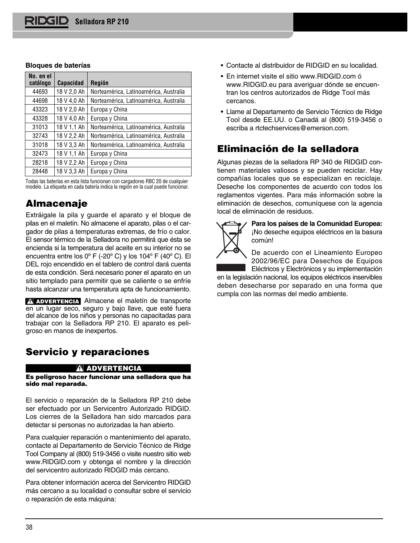#### **Bloques de baterías**

| No. en el<br>catálogo | <b>Capacidad</b> | <b>Región</b>                          |
|-----------------------|------------------|----------------------------------------|
| 44693                 | 18 V 2,0 Ah      | Norteamérica, Latinoamérica, Australia |
| 44698                 | 18 V 4,0 Ah      | Norteamérica, Latinoamérica, Australia |
| 43323                 | 18 V 2,0 Ah      | Europa y China                         |
| 43328                 | 18 V 4,0 Ah      | Europa y China                         |
| 31013                 | 18 V 1,1 Ah      | Norteamérica, Latinoamérica, Australia |
| 32743                 | 18 V 2,2 Ah      | Norteamérica, Latinoamérica, Australia |
| 31018                 | 18 V 3,3 Ah      | Norteamérica, Latinoamérica, Australia |
| 32473                 | 18 V 1.1 Ah      | Europa y China                         |
| 28218                 | 18 V 2,2 Ah      | Europa y China                         |
| 28448                 | 18 V 3,3 Ah      | Europa y China                         |

Todas las baterías en esta lista funcionan con cargadores RBC 20 de cualquier modelo. La etiqueta en cada batería indica la región en la cual puede funcionar.

## **Almacenaje**

Extráigale la pila y guarde el aparato y el bloque de pilas en el maletín. No almacene el aparato, pilas o el cargador de pilas a temperaturas extremas, de frío o calor. El sensor térmico de la Selladora no permitirá que ésta se encienda si la temperatura del aceite en su interior no se encuentra entre los 0º F (-20º C) y los 104º F (40º C). El DEL rojo encendido en el tablero de control dará cuenta de esta condición. Será necesario poner el aparato en un sitio templado para permitir que se caliente o se enfríe hasta alcanzar una temperatura apta de funcionamiento.

ADVERTENCIA Almacene el maletín de transporte en un lugar seco, seguro y bajo llave, que esté fuera del alcance de los niños y personas no capacitadas para trabajar con la Selladora RP 210. El aparato es peligroso en manos de inexpertos.

## **Servicio y reparaciones**

#### **ADVERTENCIA**

**Es peligroso hacer funcionar una selladora que ha sido mal reparada.** 

El servicio o reparación de la Selladora RP 210 debe ser efectuado por un Servicentro Autorizado RIDGID. Los cierres de la Selladora han sido marcados para detectar si personas no autorizadas la han abierto.

Para cualquier reparación o mantenimiento del aparato, contacte al Departamento de Servicio Técnico de Ridge Tool Company al (800) 519-3456 o visite nuestro sitio web www.RIDGID.com y obtenga el nombre y la dirección del servicentro autorizado RIDGID más cercano.

Para obtener información acerca del Servicentro RIDGID más cercano a su localidad o consultar sobre el servicio o reparación de esta máquina:

- Contacte al distribuidor de RIDGID en su localidad.
- En internet visite el sitio www.RIDGID.com ó www.RIDGID.eu para averiguar dónde se encuentran los centros autorizados de Ridge Tool más cercanos.
- Llame al Departamento de Servicio Técnico de Ridge Tool desde EE.UU. o Canadá al (800) 519-3456 o escriba a rtctechservices@emerson.com.

## **Eliminación de la selladora**

Algunas piezas de la selladora RP 340 de RIDGID contienen materiales valiosos y se pueden reciclar. Hay compañías locales que se especializan en reciclaje. Deseche los componentes de acuerdo con todos los reglamentos vigentes. Para más información sobre la eliminación de desechos, comuníquese con la agencia local de eliminación de residuos.



**Para los países de la Comunidad Europea:** ¡No deseche equipos eléctricos en la basura común!

De acuerdo con el Lineamiento Europeo 2002/96/EC para Desechos de Equipos

Eléctricos y Electrónicos y su implementación en la legislación nacional, los equipos eléctricos inservibles deben desecharse por separado en una forma que cumpla con las normas del medio ambiente.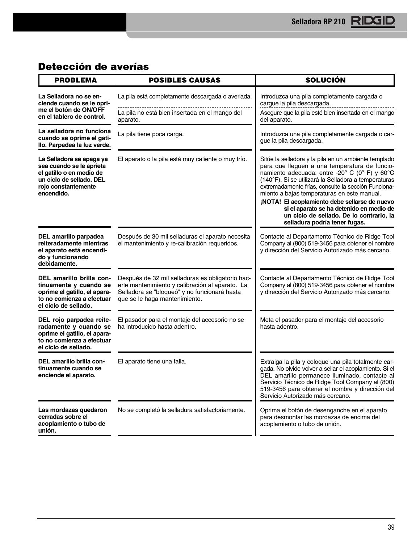## **Detección de averías**

| <b>PROBLEMA</b>                                                                                                                                   | <b>POSIBLES CAUSAS</b>                                                                                                                                                               | <b>SOLUCIÓN</b>                                                                                                                                                                                                                                                                                                                                                                                                                                                                                |  |
|---------------------------------------------------------------------------------------------------------------------------------------------------|--------------------------------------------------------------------------------------------------------------------------------------------------------------------------------------|------------------------------------------------------------------------------------------------------------------------------------------------------------------------------------------------------------------------------------------------------------------------------------------------------------------------------------------------------------------------------------------------------------------------------------------------------------------------------------------------|--|
| La Selladora no se en-<br>ciende cuando se le opri-                                                                                               | La pila está completamente descargada o averiada.                                                                                                                                    | Introduzca una pila completamente cargada o<br>cargue la pila descargada.                                                                                                                                                                                                                                                                                                                                                                                                                      |  |
| me el botón de ON/OFF<br>en el tablero de control.                                                                                                | La pila no está bien insertada en el mango del<br>aparato.                                                                                                                           | Asegure que la pila esté bien insertada en el mango<br>del aparato.                                                                                                                                                                                                                                                                                                                                                                                                                            |  |
| La selladora no funciona<br>cuando se oprime el gati-<br>llo. Parpadea la luz verde.                                                              | La pila tiene poca carga.                                                                                                                                                            | Introduzca una pila completamente cargada o car-<br>gue la pila descargada.                                                                                                                                                                                                                                                                                                                                                                                                                    |  |
| La Selladora se apaga ya<br>sea cuando se le aprieta<br>el gatillo o en medio de<br>un ciclo de sellado. DEL<br>rojo constantemente<br>encendido. | El aparato o la pila está muy caliente o muy frío.                                                                                                                                   | Sitúe la selladora y la pila en un ambiente templado<br>para que lleguen a una temperatura de funcio-<br>namiento adecuada: entre -20° C (0° F) y 60°C<br>(140°F). Si se utilizará la Selladora a temperaturas<br>extremadamente frías, consulte la sección Funciona-<br>miento a bajas temperaturas en este manual.<br>¡NOTA! El acoplamiento debe sellarse de nuevo<br>si el aparato se ha detenido en medio de<br>un ciclo de sellado. De lo contrario, la<br>selladura podría tener fugas. |  |
| DEL amarillo parpadea<br>reiteradamente mientras<br>el aparato está encendi-<br>do y funcionando<br>debidamente.                                  | Después de 30 mil selladuras el aparato necesita<br>el mantenimiento y re-calibración requeridos.                                                                                    | Contacte al Departamento Técnico de Ridge Tool<br>Company al (800) 519-3456 para obtener el nombre<br>y dirección del Servicio Autorizado más cercano.                                                                                                                                                                                                                                                                                                                                         |  |
| DEL amarillo brilla con-<br>tinuamente y cuando se<br>oprime el gatillo, el apara-<br>to no comienza a efectuar<br>el ciclo de sellado.           | Después de 32 mil selladuras es obligatorio hac-<br>erle mantenimiento y calibración al aparato. La<br>Selladora se "bloqueó" y no funcionará hasta<br>que se le haga mantenimiento. | Contacte al Departamento Técnico de Ridge Tool<br>Company al (800) 519-3456 para obtener el nombre<br>y dirección del Servicio Autorizado más cercano.                                                                                                                                                                                                                                                                                                                                         |  |
| DEL rojo parpadea reite-<br>radamente y cuando se<br>oprime el gatillo, el apara-<br>to no comienza a efectuar<br>el ciclo de sellado.            | El pasador para el montaje del accesorio no se<br>ha introducido hasta adentro.                                                                                                      | Meta el pasador para el montaje del accesorio<br>hasta adentro.                                                                                                                                                                                                                                                                                                                                                                                                                                |  |
| DEL amarillo brilla con-<br>tinuamente cuando se<br>enciende el aparato.                                                                          | El aparato tiene una falla.                                                                                                                                                          | Extraiga la pila y coloque una pila totalmente car-<br>gada. No olvide volver a sellar el acoplamiento. Si el<br>DEL amarillo permanece iluminado, contacte al<br>Servicio Técnico de Ridge Tool Company al (800)<br>519-3456 para obtener el nombre y dirección del<br>Servicio Autorizado más cercano.                                                                                                                                                                                       |  |
| Las mordazas quedaron<br>No se completó la selladura satisfactoriamente.<br>cerradas sobre el<br>acoplamiento o tubo de<br>unión.                 |                                                                                                                                                                                      | Oprima el botón de desenganche en el aparato<br>para desmontar las mordazas de encima del<br>acoplamiento o tubo de unión.                                                                                                                                                                                                                                                                                                                                                                     |  |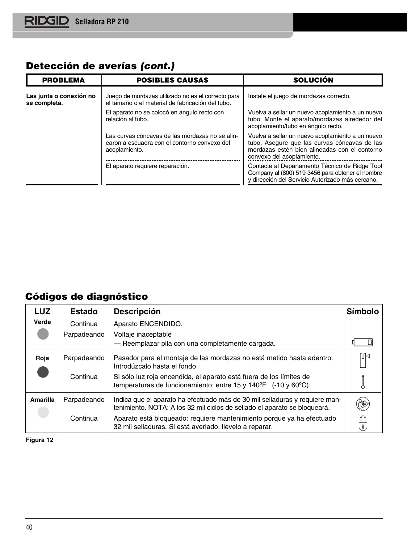## **Detección de averías (cont.)**

| <b>PROBLEMA</b>                         | <b>POSIBLES CAUSAS</b>                                                                                           | <b>SOLUCIÓN</b>                                                                                                                                                                |
|-----------------------------------------|------------------------------------------------------------------------------------------------------------------|--------------------------------------------------------------------------------------------------------------------------------------------------------------------------------|
| Las junta o conexión no<br>se completa. | Juego de mordazas utilizado no es el correcto para<br>el tamaño o el material de fabricación del tubo.           | Instale el juego de mordazas correcto.                                                                                                                                         |
|                                         | El aparato no se colocó en ángulo recto con<br>relación al tubo.                                                 | Vuelva a sellar un nuevo acoplamiento a un nuevo<br>tubo. Monte el aparato/mordazas alrededor del<br>acoplamiento/tubo en ángulo recto.                                        |
|                                         | Las curvas cóncavas de las mordazas no se alin-<br>earon a escuadra con el contorno convexo del<br>acoplamiento. | Vuelva a sellar un nuevo acoplamiento a un nuevo<br>tubo. Asegure que las curvas cóncavas de las<br>mordazas estén bien alineadas con el contorno<br>convexo del acoplamiento. |
|                                         | El aparato requiere reparación.                                                                                  | Contacte al Departamento Técnico de Ridge Tool<br>Company al (800) 519-3456 para obtener el nombre<br>y dirección del Servicio Autorizado más cercano.                         |

## **Códigos de diagnóstico**

| <b>LUZ</b> | <b>Estado</b> | <b>Descripción</b>                                                                                                                                       | Símbolo |
|------------|---------------|----------------------------------------------------------------------------------------------------------------------------------------------------------|---------|
| Verde      | Continua      | Aparato ENCENDIDO.                                                                                                                                       |         |
|            | Parpadeando   | Voltaje inaceptable<br>- Reemplazar pila con una completamente cargada.                                                                                  |         |
| Roja       | Parpadeando   | Pasador para el montaje de las mordazas no está metido hasta adentro.<br>Introdúzcalo hasta el fondo                                                     | 吅       |
|            | Continua      | Si sólo luz roja encendida, el aparato está fuera de los límites de<br>temperaturas de funcionamiento: entre 15 y 140°F $($ -10 y 60°C)                  |         |
| Amarilla   | Parpadeando   | Indica que el aparato ha efectuado más de 30 mil selladuras y requiere man-<br>tenimiento. NOTA: A los 32 mil ciclos de sellado el aparato se bloqueará. |         |
|            | Continua      | Aparato está bloqueado: requiere mantenimiento porque ya ha efectuado<br>32 mil selladuras. Si está averiado, llévelo a reparar.                         |         |

**Figura 12**